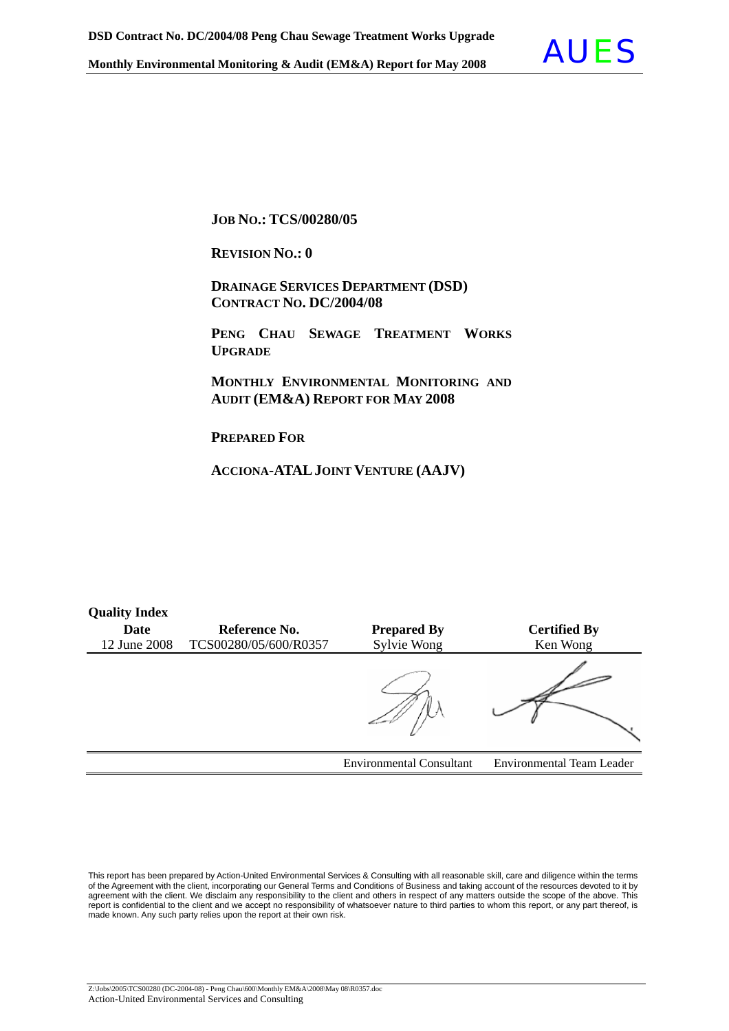

**JOB NO.: TCS/00280/05** 

**REVISION NO.: 0** 

 **DRAINAGE SERVICES DEPARTMENT (DSD) CONTRACT NO. DC/2004/08**

 **PENG CHAU SEWAGE TREATMENT WORKS UPGRADE**

 **MONTHLY ENVIRONMENTAL MONITORING AND AUDIT (EM&A) REPORT FOR MAY 2008** 

**PREPARED FOR**

**Quality Index** 

**ACCIONA-ATALJOINT VENTURE (AAJV)**

| <b>Quality Hitley</b> |                       |                                 |                                  |
|-----------------------|-----------------------|---------------------------------|----------------------------------|
| Date                  | Reference No.         | <b>Prepared By</b>              | <b>Certified By</b>              |
| 12 June 2008          | TCS00280/05/600/R0357 | Sylvie Wong                     | Ken Wong                         |
|                       |                       |                                 |                                  |
|                       |                       | <b>Environmental Consultant</b> | <b>Environmental Team Leader</b> |

This report has been prepared by Action-United Environmental Services & Consulting with all reasonable skill, care and diligence within the terms of the Agreement with the client, incorporating our General Terms and Conditions of Business and taking account of the resources devoted to it by agreement with the client. We disclaim any responsibility to the client and others in respect of any matters outside the scope of the above. This report is confidential to the client and we accept no responsibility of whatsoever nature to third parties to whom this report, or any part thereof, is made known. Any such party relies upon the report at their own risk.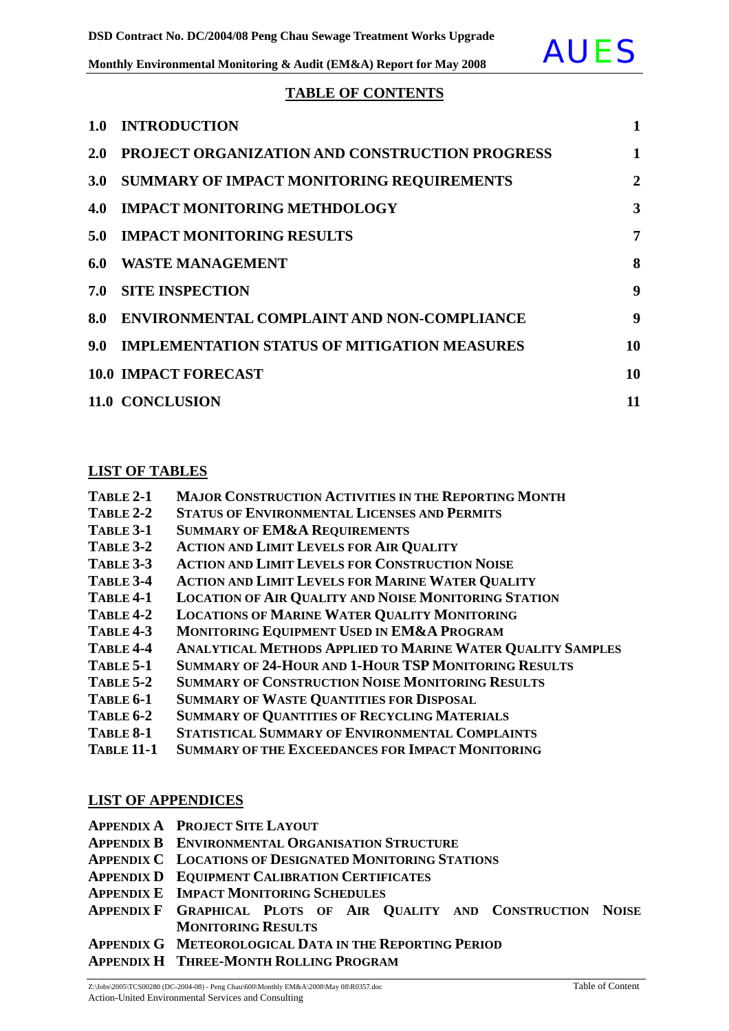#### **TABLE OF CONTENTS**

| 1.0              | <b>INTRODUCTION</b>                                 | $\mathbf{1}$   |
|------------------|-----------------------------------------------------|----------------|
| <b>2.0</b>       | PROJECT ORGANIZATION AND CONSTRUCTION PROGRESS      | 1              |
| 3.0 <sub>1</sub> | <b>SUMMARY OF IMPACT MONITORING REQUIREMENTS</b>    | $\overline{2}$ |
| 4.0              | <b>IMPACT MONITORING METHDOLOGY</b>                 | 3              |
| 5.0              | <b>IMPACT MONITORING RESULTS</b>                    | 7              |
| 6.0              | <b>WASTE MANAGEMENT</b>                             | 8              |
| 7.0              | <b>SITE INSPECTION</b>                              | 9              |
| 8.0              | ENVIRONMENTAL COMPLAINT AND NON-COMPLIANCE          | 9              |
| 9.0 <sub>1</sub> | <b>IMPLEMENTATION STATUS OF MITIGATION MEASURES</b> | 10             |
|                  | <b>10.0 IMPACT FORECAST</b>                         | 10             |
|                  | 11.0 CONCLUSION                                     | 11             |

#### **LIST OF TABLES**

| TABLE 2-1 | <b>MAJOR CONSTRUCTION ACTIVITIES IN THE REPORTING MONTH</b> |
|-----------|-------------------------------------------------------------|
|-----------|-------------------------------------------------------------|

- **TABLE 2-2 STATUS OF ENVIRONMENTAL LICENSES AND PERMITS**
- **TABLE 3-1 SUMMARY OF EM&A REQUIREMENTS**
- **TABLE 3-2 ACTION AND LIMIT LEVELS FOR AIR QUALITY**
- **TABLE 3-3 ACTION AND LIMIT LEVELS FOR CONSTRUCTION NOISE**
- **TABLE 3-4 ACTION AND LIMIT LEVELS FOR MARINE WATER QUALITY**
- **TABLE 4-1 LOCATION OF AIR QUALITY AND NOISE MONITORING STATION**
- **TABLE 4-2 LOCATIONS OF MARINE WATER QUALITY MONITORING**
- **TABLE 4-3 MONITORING EQUIPMENT USED IN EM&A PROGRAM**
- **TABLE 4-4 ANALYTICAL METHODS APPLIED TO MARINE WATER QUALITY SAMPLES**
- **TABLE 5-1 SUMMARY OF 24-HOUR AND 1-HOUR TSP MONITORING RESULTS**
- **TABLE 5-2 SUMMARY OF CONSTRUCTION NOISE MONITORING RESULTS**
- **TABLE 6-1 SUMMARY OF WASTE QUANTITIES FOR DISPOSAL**
- **TABLE 6-2 SUMMARY OF QUANTITIES OF RECYCLING MATERIALS**
- **TABLE 8-1 STATISTICAL SUMMARY OF ENVIRONMENTAL COMPLAINTS**
- **TABLE 11-1 SUMMARY OF THE EXCEEDANCES FOR IMPACT MONITORING**

#### **LIST OF APPENDICES**

- **APPENDIX A PROJECT SITE LAYOUT**
- **APPENDIX B ENVIRONMENTAL ORGANISATION STRUCTURE**
- **APPENDIX C LOCATIONS OF DESIGNATED MONITORING STATIONS**
- **APPENDIX D EQUIPMENT CALIBRATION CERTIFICATES**
- **APPENDIX E IMPACT MONITORING SCHEDULES**
- **APPENDIX F GRAPHICAL PLOTS OF AIR QUALITY AND CONSTRUCTION NOISE MONITORING RESULTS**
- **APPENDIX G METEOROLOGICAL DATA IN THE REPORTING PERIOD**
- **APPENDIX H THREE-MONTH ROLLING PROGRAM**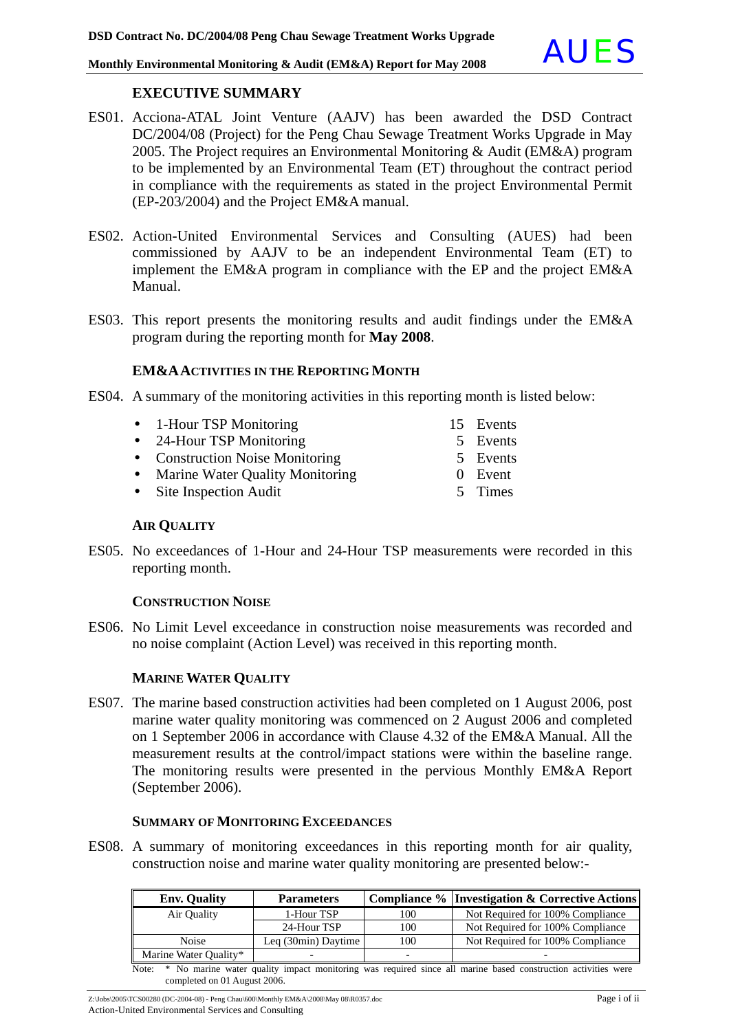#### **EXECUTIVE SUMMARY**

- ES01. Acciona-ATAL Joint Venture (AAJV) has been awarded the DSD Contract DC/2004/08 (Project) for the Peng Chau Sewage Treatment Works Upgrade in May 2005. The Project requires an Environmental Monitoring & Audit (EM&A) program to be implemented by an Environmental Team (ET) throughout the contract period in compliance with the requirements as stated in the project Environmental Permit (EP-203/2004) and the Project EM&A manual.
- ES02. Action-United Environmental Services and Consulting (AUES) had been commissioned by AAJV to be an independent Environmental Team (ET) to implement the EM&A program in compliance with the EP and the project EM&A Manual.
- ES03. This report presents the monitoring results and audit findings under the EM&A program during the reporting month for **May 2008**.

#### **EM&AACTIVITIES IN THE REPORTING MONTH**

- ES04. A summary of the monitoring activities in this reporting month is listed below:
	- 1-Hour TSP Monitoring 15 Events
	- 24-Hour TSP Monitoring 5 Events
	- Construction Noise Monitoring 5 Events
	- Marine Water Quality Monitoring 0 Event
	- Site Inspection Audit 5 Times

**AIR QUALITY**

ES05. No exceedances of 1-Hour and 24-Hour TSP measurements were recorded in this reporting month.

#### **CONSTRUCTION NOISE**

ES06. No Limit Level exceedance in construction noise measurements was recorded and no noise complaint (Action Level) was received in this reporting month.

#### **MARINE WATER QUALITY**

ES07. The marine based construction activities had been completed on 1 August 2006, post marine water quality monitoring was commenced on 2 August 2006 and completed on 1 September 2006 in accordance with Clause 4.32 of the EM&A Manual. All the measurement results at the control/impact stations were within the baseline range. The monitoring results were presented in the pervious Monthly EM&A Report (September 2006).

#### **SUMMARY OF MONITORING EXCEEDANCES**

ES08. A summary of monitoring exceedances in this reporting month for air quality, construction noise and marine water quality monitoring are presented below:-

| <b>Env. Quality</b>   | <b>Parameters</b>   |     | Compliance % Investigation & Corrective Actions                                                                    |
|-----------------------|---------------------|-----|--------------------------------------------------------------------------------------------------------------------|
| Air Ouality           | 1-Hour TSP          | 100 | Not Required for 100% Compliance                                                                                   |
|                       | 24-Hour TSP         | 100 | Not Required for 100% Compliance                                                                                   |
| <b>Noise</b>          | Leg (30min) Daytime | 100 | Not Required for 100% Compliance                                                                                   |
| Marine Water Quality* |                     | -   |                                                                                                                    |
|                       |                     |     | Note: * No marine water quality impact monitoring was required since all marine based construction activities were |

completed on 01 August 2006.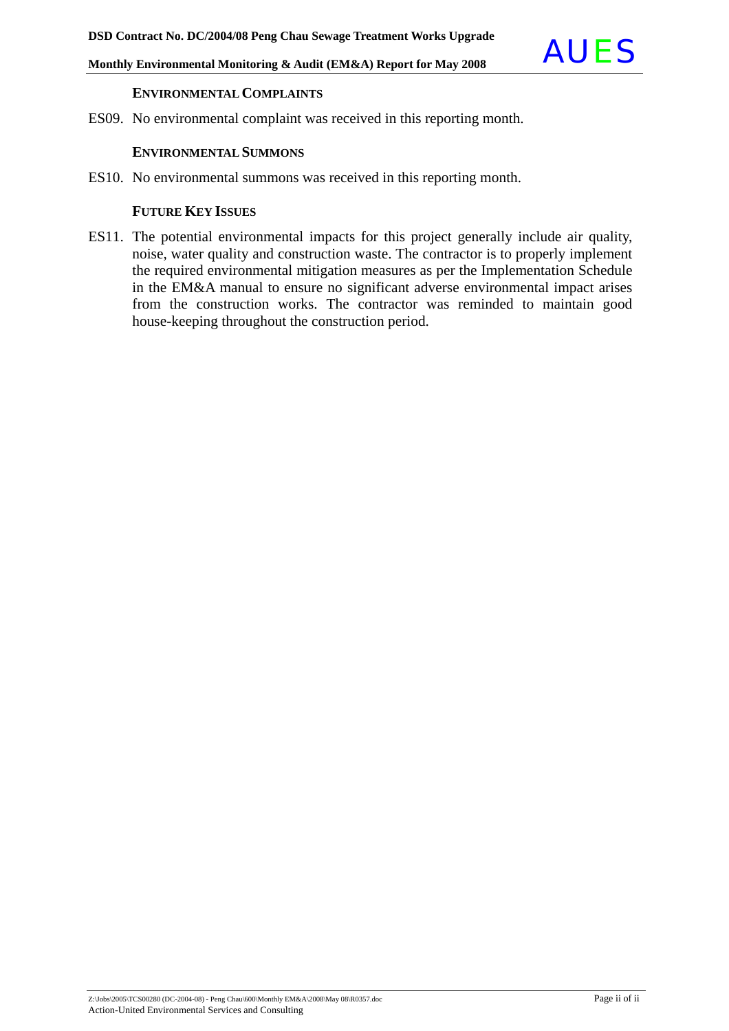

#### **ENVIRONMENTAL COMPLAINTS**

ES09. No environmental complaint was received in this reporting month.

#### **ENVIRONMENTAL SUMMONS**

ES10. No environmental summons was received in this reporting month.

#### **FUTURE KEY ISSUES**

ES11. The potential environmental impacts for this project generally include air quality, noise, water quality and construction waste. The contractor is to properly implement the required environmental mitigation measures as per the Implementation Schedule in the EM&A manual to ensure no significant adverse environmental impact arises from the construction works. The contractor was reminded to maintain good house-keeping throughout the construction period.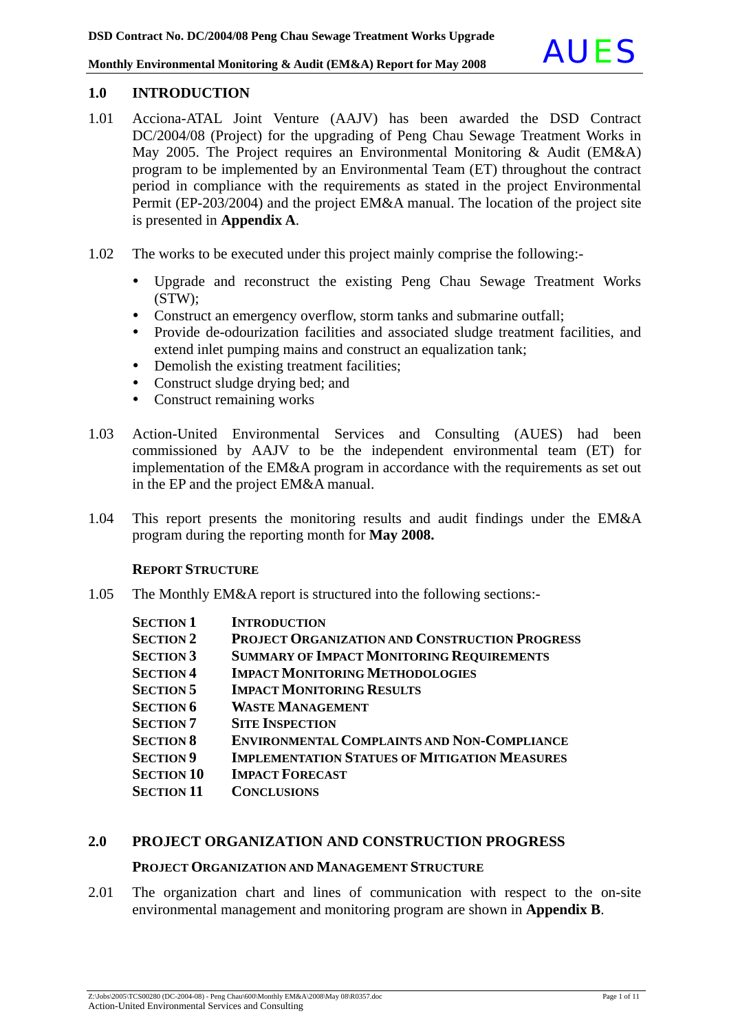#### **1.0 INTRODUCTION**

- 1.01 Acciona-ATAL Joint Venture (AAJV) has been awarded the DSD Contract DC/2004/08 (Project) for the upgrading of Peng Chau Sewage Treatment Works in May 2005. The Project requires an Environmental Monitoring & Audit (EM&A) program to be implemented by an Environmental Team (ET) throughout the contract period in compliance with the requirements as stated in the project Environmental Permit (EP-203/2004) and the project EM&A manual. The location of the project site is presented in **Appendix A**.
- 1.02 The works to be executed under this project mainly comprise the following:-
	- Upgrade and reconstruct the existing Peng Chau Sewage Treatment Works (STW);
	- Construct an emergency overflow, storm tanks and submarine outfall;
	- Provide de-odourization facilities and associated sludge treatment facilities, and extend inlet pumping mains and construct an equalization tank;
	- Demolish the existing treatment facilities;
	- Construct sludge drying bed; and
	- Construct remaining works
- 1.03 Action-United Environmental Services and Consulting (AUES) had been commissioned by AAJV to be the independent environmental team (ET) for implementation of the EM&A program in accordance with the requirements as set out in the EP and the project EM&A manual.
- 1.04 This report presents the monitoring results and audit findings under the EM&A program during the reporting month for **May 2008.**

#### **REPORT STRUCTURE**

1.05 The Monthly EM&A report is structured into the following sections:-

| <b>SECTION 1</b>  | <b>INTRODUCTION</b>                                   |
|-------------------|-------------------------------------------------------|
| <b>SECTION 2</b>  | <b>PROJECT ORGANIZATION AND CONSTRUCTION PROGRESS</b> |
| <b>SECTION 3</b>  | <b>SUMMARY OF IMPACT MONITORING REQUIREMENTS</b>      |
| <b>SECTION 4</b>  | <b>IMPACT MONITORING METHODOLOGIES</b>                |
| <b>SECTION 5</b>  | <b>IMPACT MONITORING RESULTS</b>                      |
| <b>SECTION 6</b>  | <b>WASTE MANAGEMENT</b>                               |
| <b>SECTION 7</b>  | <b>SITE INSPECTION</b>                                |
| <b>SECTION 8</b>  | <b>ENVIRONMENTAL COMPLAINTS AND NON-COMPLIANCE</b>    |
| <b>SECTION 9</b>  | <b>IMPLEMENTATION STATUES OF MITIGATION MEASURES</b>  |
| <b>SECTION 10</b> | <b>IMPACT FORECAST</b>                                |
| <b>SECTION 11</b> | <b>CONCLUSIONS</b>                                    |

#### **2.0 PROJECT ORGANIZATION AND CONSTRUCTION PROGRESS**

#### **PROJECT ORGANIZATION AND MANAGEMENT STRUCTURE**

2.01 The organization chart and lines of communication with respect to the on-site environmental management and monitoring program are shown in **Appendix B**.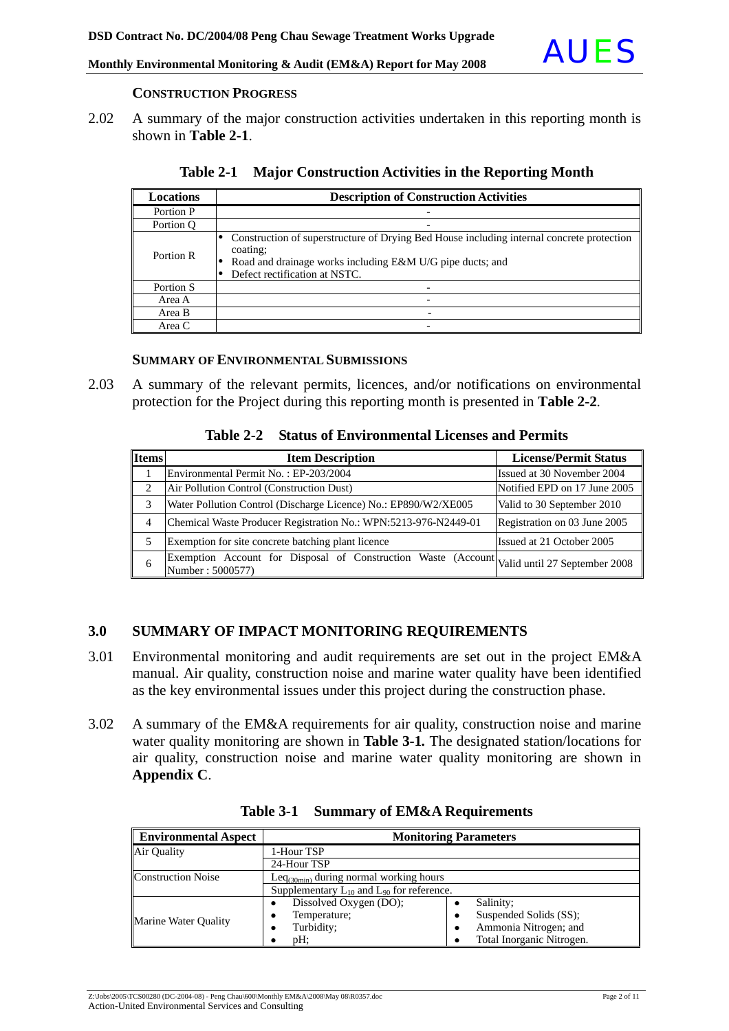

#### **CONSTRUCTION PROGRESS**

2.02 A summary of the major construction activities undertaken in this reporting month is shown in **Table 2-1**.

| Locations | <b>Description of Construction Activities</b>                                                                                                                                                       |
|-----------|-----------------------------------------------------------------------------------------------------------------------------------------------------------------------------------------------------|
| Portion P |                                                                                                                                                                                                     |
| Portion O |                                                                                                                                                                                                     |
| Portion R | Construction of superstructure of Drying Bed House including internal concrete protection<br>coating:<br>Road and drainage works including E&M U/G pipe ducts; and<br>Defect rectification at NSTC. |
| Portion S |                                                                                                                                                                                                     |
| Area A    |                                                                                                                                                                                                     |
| Area B    |                                                                                                                                                                                                     |
| Area C    |                                                                                                                                                                                                     |

| Table 2-1 Major Construction Activities in the Reporting Month |  |  |  |  |  |
|----------------------------------------------------------------|--|--|--|--|--|
|----------------------------------------------------------------|--|--|--|--|--|

#### **SUMMARY OF ENVIRONMENTAL SUBMISSIONS**

2.03 A summary of the relevant permits, licences, and/or notifications on environmental protection for the Project during this reporting month is presented in **Table 2-2***.*

|  | Table 2-2 Status of Environmental Licenses and Permits |  |  |
|--|--------------------------------------------------------|--|--|
|--|--------------------------------------------------------|--|--|

| <b>Items</b> | <b>Item Description</b>                                                                                         | <b>License/Permit Status</b> |
|--------------|-----------------------------------------------------------------------------------------------------------------|------------------------------|
|              | Environmental Permit No.: EP-203/2004                                                                           | Issued at 30 November 2004   |
| 2            | Air Pollution Control (Construction Dust)                                                                       | Notified EPD on 17 June 2005 |
| 3            | Water Pollution Control (Discharge Licence) No.: EP890/W2/XE005                                                 | Valid to 30 September 2010   |
| 4            | Chemical Waste Producer Registration No.: WPN:5213-976-N2449-01                                                 | Registration on 03 June 2005 |
| 5            | Exemption for site concrete batching plant licence                                                              | Issued at 21 October 2005    |
| 6            | Exemption Account for Disposal of Construction Waste (Account Valid until 27 September 2008<br>Number: 5000577) |                              |

#### **3.0 SUMMARY OF IMPACT MONITORING REQUIREMENTS**

- 3.01 Environmental monitoring and audit requirements are set out in the project EM&A manual. Air quality, construction noise and marine water quality have been identified as the key environmental issues under this project during the construction phase.
- 3.02 A summary of the EM&A requirements for air quality, construction noise and marine water quality monitoring are shown in **Table 3-1***.* The designated station/locations for air quality, construction noise and marine water quality monitoring are shown in **Appendix C**.

| <b>Environmental Aspect</b> | <b>Monitoring Parameters</b>                       |                            |  |  |
|-----------------------------|----------------------------------------------------|----------------------------|--|--|
| Air Quality                 | 1-Hour TSP                                         |                            |  |  |
|                             | 24-Hour TSP                                        |                            |  |  |
| <b>Construction Noise</b>   | Leq $_{(30min)}$ during normal working hours       |                            |  |  |
|                             | Supplementary $L_{10}$ and $L_{90}$ for reference. |                            |  |  |
|                             | Dissolved Oxygen (DO);                             | Salinity;                  |  |  |
| Marine Water Quality        | Temperature;                                       | Suspended Solids (SS);     |  |  |
|                             | Turbidity;                                         | Ammonia Nitrogen; and<br>٠ |  |  |
|                             | pH:                                                | Total Inorganic Nitrogen.  |  |  |

**Table 3-1 Summary of EM&A Requirements**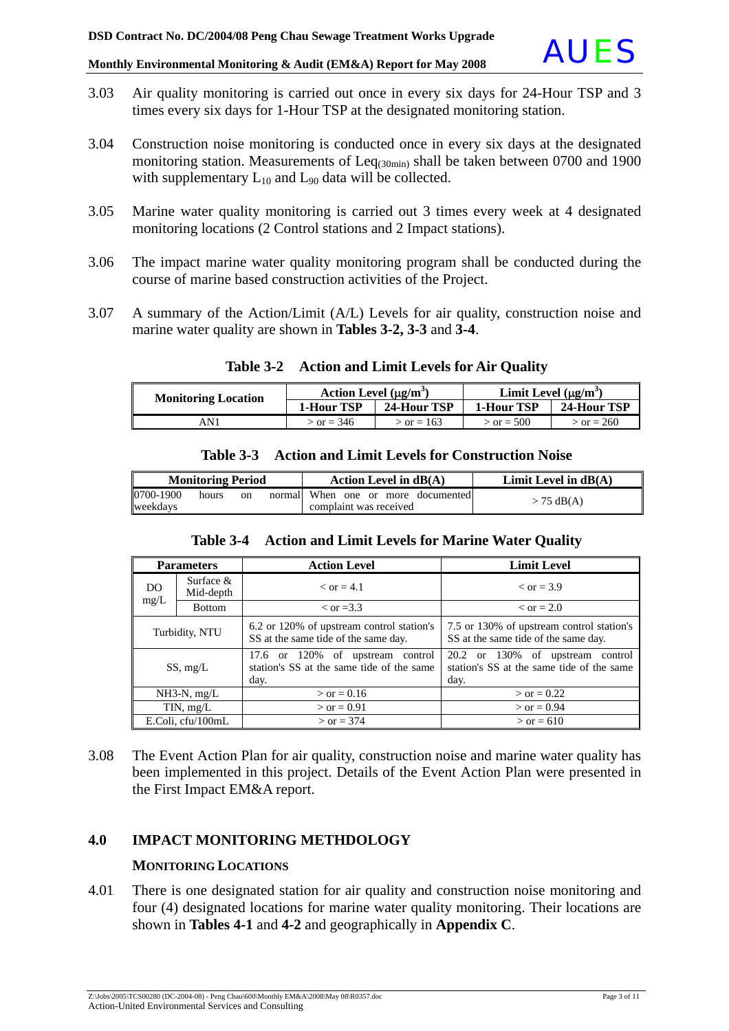- 3.03 Air quality monitoring is carried out once in every six days for 24-Hour TSP and 3 times every six days for 1-Hour TSP at the designated monitoring station.
- 3.04 Construction noise monitoring is conducted once in every six days at the designated monitoring station. Measurements of  $\text{Leq}_{(30\text{min})}$  shall be taken between 0700 and 1900 with supplementary  $L_{10}$  and  $L_{90}$  data will be collected.
- 3.05 Marine water quality monitoring is carried out 3 times every week at 4 designated monitoring locations (2 Control stations and 2 Impact stations).
- 3.06 The impact marine water quality monitoring program shall be conducted during the course of marine based construction activities of the Project.
- 3.07 A summary of the Action/Limit (A/L) Levels for air quality, construction noise and marine water quality are shown in **Tables 3-2, 3-3** and **3-4**.

| <b>Monitoring Location</b> | Action Level $(\mu g/m^3)$ |                | Limit Level $(\mu g/m^3)$ |              |
|----------------------------|----------------------------|----------------|---------------------------|--------------|
|                            | <b>1-Hour TSP</b>          | 24-Hour TSP    | <b>1-Hour TSP</b>         | 24-Hour TSP  |
| AN 1                       | $\sigma = 346$             | $\sigma = 163$ | $>$ or = 500              | $>$ or = 260 |

#### **Table 3-2 Action and Limit Levels for Air Quality**

| <b>Monitoring Period</b> |       |    | Action Level in $dB(A)$                                      | Limit Level in $dB(A)$ |
|--------------------------|-------|----|--------------------------------------------------------------|------------------------|
| 0700-1900<br>weekdays    | hours | on | normal When one or more documented<br>complaint was received | $> 75$ dB(A)           |

**Table 3-3 Action and Limit Levels for Construction Noise**

#### **Table 3-4 Action and Limit Levels for Marine Water Quality**

| <b>Parameters</b> |                          | <b>Action Level</b>                                                                   | <b>Limit Level</b>                                                                    |  |
|-------------------|--------------------------|---------------------------------------------------------------------------------------|---------------------------------------------------------------------------------------|--|
| DO.               | Surface $&$<br>Mid-depth | $\epsilon$ or = 4.1                                                                   | $\epsilon$ or = 3.9                                                                   |  |
| mg/L              | <b>Bottom</b>            | $\rm <$ or =3.3                                                                       | $\epsilon$ or = 2.0                                                                   |  |
| Turbidity, NTU    |                          | 6.2 or 120% of upstream control station's<br>SS at the same tide of the same day.     | 7.5 or 130% of upstream control station's<br>SS at the same tide of the same day.     |  |
| SS, mg/L          |                          | 17.6 or 120% of upstream control<br>station's SS at the same tide of the same<br>day. | 20.2 or 130% of upstream control<br>station's SS at the same tide of the same<br>day. |  |
| $NH3-N$ , $mg/L$  |                          | $>$ or = 0.16                                                                         | $>$ or = 0.22                                                                         |  |
| TIN, $mg/L$       |                          | $>$ or = 0.91                                                                         | $>$ or = 0.94                                                                         |  |
| E.Coli, cfu/100mL |                          | $>$ or = 374                                                                          | $>$ or = 610                                                                          |  |

3.08 The Event Action Plan for air quality, construction noise and marine water quality has been implemented in this project. Details of the Event Action Plan were presented in the First Impact EM&A report.

#### **4.0 IMPACT MONITORING METHDOLOGY**

#### **MONITORING LOCATIONS**

4.01 There is one designated station for air quality and construction noise monitoring and four (4) designated locations for marine water quality monitoring. Their locations are shown in **Tables 4-1** and **4-2** and geographically in **Appendix C**.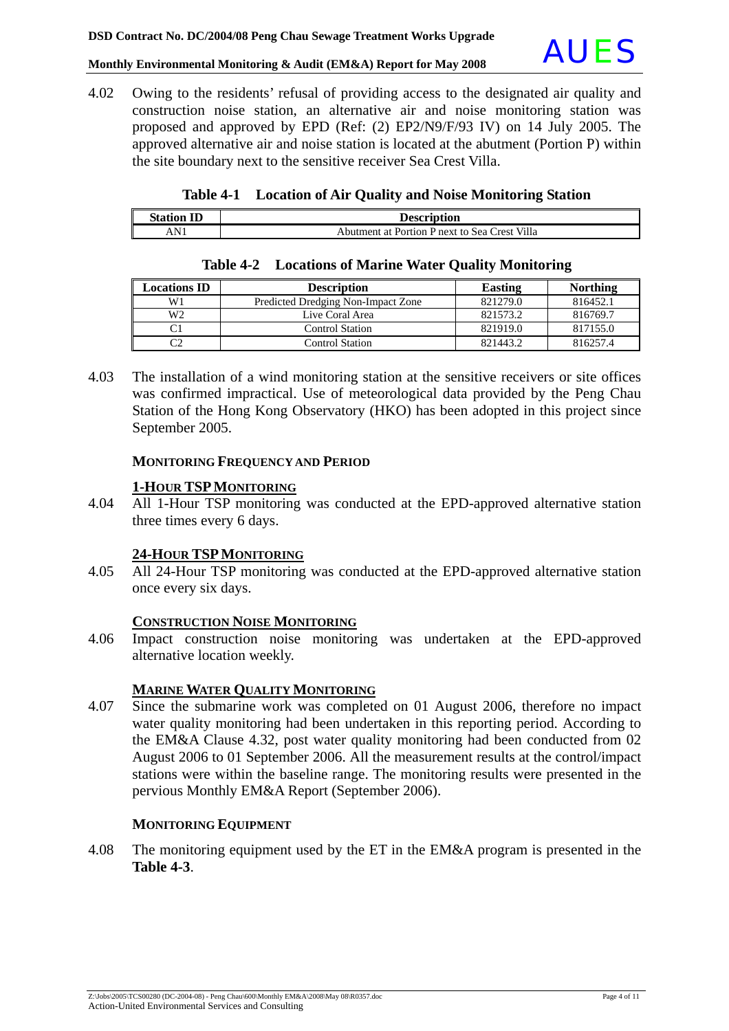

4.02 Owing to the residents' refusal of providing access to the designated air quality and construction noise station, an alternative air and noise monitoring station was proposed and approved by EPD (Ref: (2) EP2/N9/F/93 IV) on 14 July 2005. The approved alternative air and noise station is located at the abutment (Portion P) within the site boundary next to the sensitive receiver Sea Crest Villa.

|  |  |  | Table 4-1 Location of Air Quality and Noise Monitoring Station |
|--|--|--|----------------------------------------------------------------|
|--|--|--|----------------------------------------------------------------|

| <b>Station ID</b> | <b>Description</b>                            |
|-------------------|-----------------------------------------------|
| AN                | Abutment at Portion P next to Sea Crest Villa |

| <b>Locations ID</b> | <b>Description</b>                 | <b>Easting</b> | <b>Northing</b> |
|---------------------|------------------------------------|----------------|-----------------|
| W1                  | Predicted Dredging Non-Impact Zone | 821279.0       | 816452.1        |
| W <sub>2</sub>      | Live Coral Area                    | 821573.2       | 816769.7        |
|                     | <b>Control Station</b>             | 821919.0       | 817155.0        |
|                     | <b>Control Station</b>             | 821443.2       | 816257.4        |

#### **Table 4-2 Locations of Marine Water Quality Monitoring**

4.03 The installation of a wind monitoring station at the sensitive receivers or site offices was confirmed impractical. Use of meteorological data provided by the Peng Chau Station of the Hong Kong Observatory (HKO) has been adopted in this project since September 2005.

#### **MONITORING FREQUENCY AND PERIOD**

#### **1-HOUR TSPMONITORING**

4.04 All 1-Hour TSP monitoring was conducted at the EPD-approved alternative station three times every 6 days.

#### **24-HOUR TSPMONITORING**

4.05 All 24-Hour TSP monitoring was conducted at the EPD-approved alternative station once every six days.

#### **CONSTRUCTION NOISE MONITORING**

4.06 Impact construction noise monitoring was undertaken at the EPD-approved alternative location weekly.

#### **MARINE WATER QUALITY MONITORING**

4.07 Since the submarine work was completed on 01 August 2006, therefore no impact water quality monitoring had been undertaken in this reporting period. According to the EM&A Clause 4.32, post water quality monitoring had been conducted from 02 August 2006 to 01 September 2006. All the measurement results at the control/impact stations were within the baseline range. The monitoring results were presented in the pervious Monthly EM&A Report (September 2006).

#### **MONITORING EQUIPMENT**

4.08 The monitoring equipment used by the ET in the EM&A program is presented in the **Table 4-3**.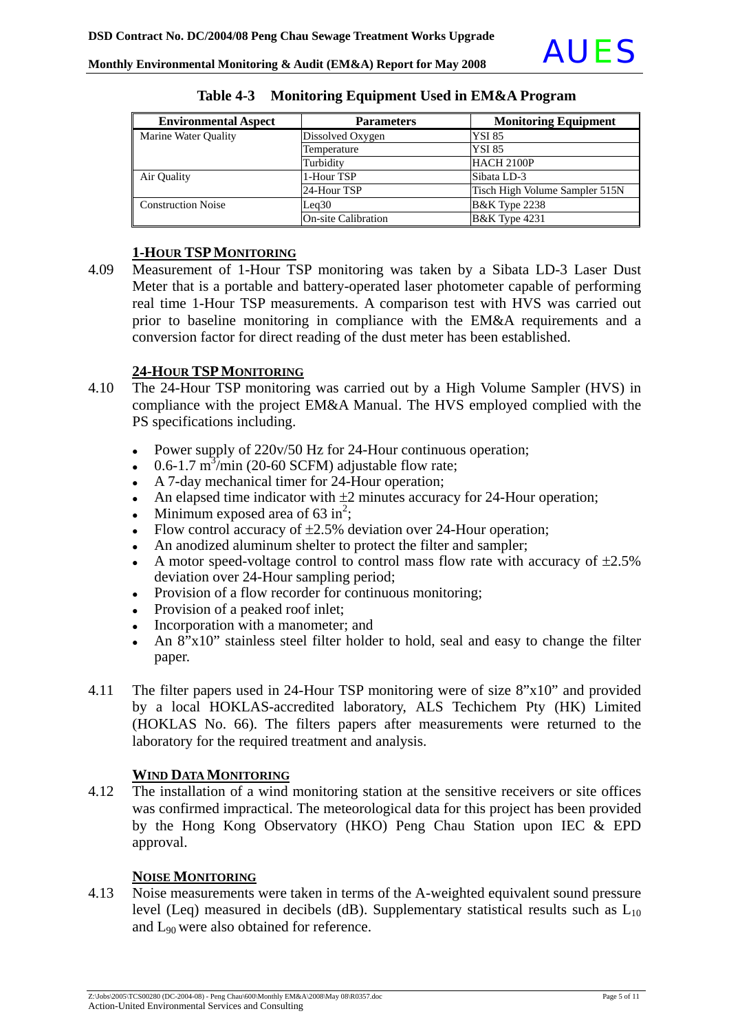| <b>Environmental Aspect</b> | <b>Parameters</b>          | <b>Monitoring Equipment</b>    |  |
|-----------------------------|----------------------------|--------------------------------|--|
| Marine Water Quality        | Dissolved Oxygen           | <b>YSI 85</b>                  |  |
|                             | Temperature                | <b>YSI 85</b>                  |  |
|                             | Turbidity                  | HACH 2100P                     |  |
| Air Quality                 | 1-Hour TSP                 | Sibata LD-3                    |  |
|                             | 24-Hour TSP                | Tisch High Volume Sampler 515N |  |
| <b>Construction Noise</b>   | Leq30                      | <b>B&amp;K</b> Type 2238       |  |
|                             | <b>On-site Calibration</b> | <b>B&amp;K</b> Type 4231       |  |

#### **Table 4-3 Monitoring Equipment Used in EM&A Program**

#### **1-HOUR TSPMONITORING**

4.09 Measurement of 1-Hour TSP monitoring was taken by a Sibata LD-3 Laser Dust Meter that is a portable and battery-operated laser photometer capable of performing real time 1-Hour TSP measurements. A comparison test with HVS was carried out prior to baseline monitoring in compliance with the EM&A requirements and a conversion factor for direct reading of the dust meter has been established.

#### **24-HOUR TSPMONITORING**

- 4.10 The 24-Hour TSP monitoring was carried out by a High Volume Sampler (HVS) in compliance with the project EM&A Manual. The HVS employed complied with the PS specifications including.
	- Power supply of  $220v/50$  Hz for 24-Hour continuous operation;
	- $\cdot$  0.6-1.7 m<sup>3</sup>/min (20-60 SCFM) adjustable flow rate;
	- A 7-day mechanical timer for 24-Hour operation;
	- An elapsed time indicator with  $\pm 2$  minutes accuracy for 24-Hour operation;
	- Minimum exposed area of  $63 \text{ in}^2$ ;
	- Flow control accuracy of  $\pm 2.5$ % deviation over 24-Hour operation;
	- An anodized aluminum shelter to protect the filter and sampler;
	- A motor speed-voltage control to control mass flow rate with accuracy of  $\pm 2.5\%$ deviation over 24-Hour sampling period;
	- Provision of a flow recorder for continuous monitoring;
	- Provision of a peaked roof inlet;
	- Incorporation with a manometer; and
	- An  $8"x10"$  stainless steel filter holder to hold, seal and easy to change the filter paper.
- 4.11 The filter papers used in 24-Hour TSP monitoring were of size 8"x10" and provided by a local HOKLAS-accredited laboratory, ALS Techichem Pty (HK) Limited (HOKLAS No. 66). The filters papers after measurements were returned to the laboratory for the required treatment and analysis.

#### **WIND DATA MONITORING**

4.12 The installation of a wind monitoring station at the sensitive receivers or site offices was confirmed impractical. The meteorological data for this project has been provided by the Hong Kong Observatory (HKO) Peng Chau Station upon IEC & EPD approval.

#### **NOISE MONITORING**

4.13 Noise measurements were taken in terms of the A-weighted equivalent sound pressure level (Leq) measured in decibels (dB). Supplementary statistical results such as  $L_{10}$ and L90 were also obtained for reference.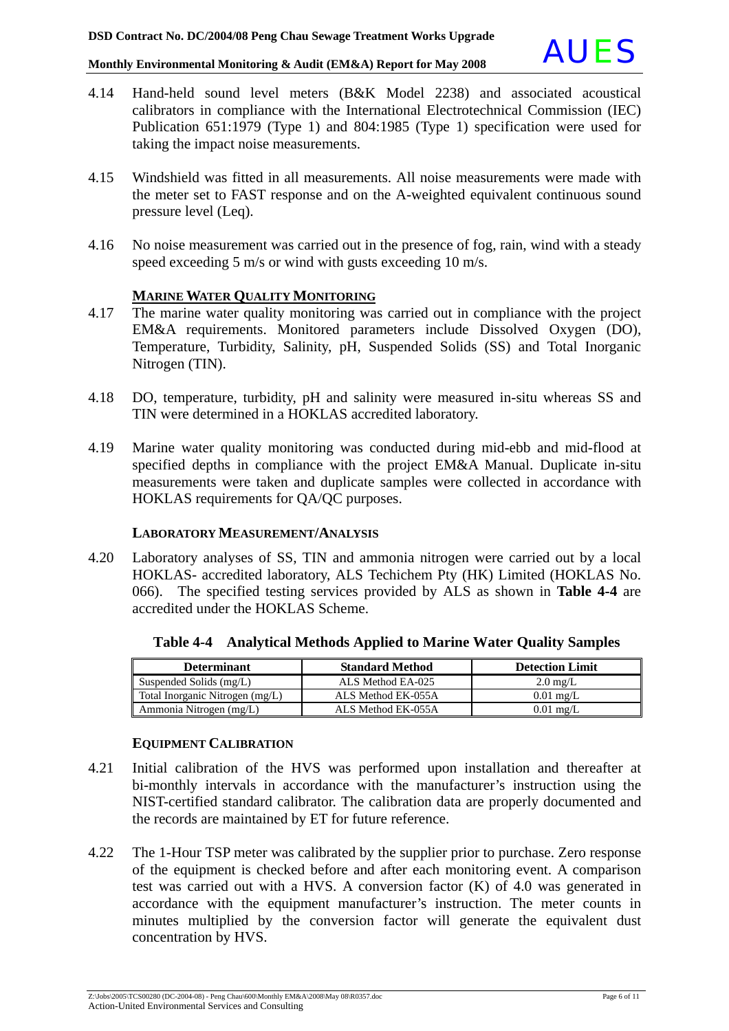

- 4.14 Hand-held sound level meters (B&K Model 2238) and associated acoustical calibrators in compliance with the International Electrotechnical Commission (IEC) Publication 651:1979 (Type 1) and 804:1985 (Type 1) specification were used for taking the impact noise measurements.
- 4.15 Windshield was fitted in all measurements. All noise measurements were made with the meter set to FAST response and on the A-weighted equivalent continuous sound pressure level (Leq).
- 4.16 No noise measurement was carried out in the presence of fog, rain, wind with a steady speed exceeding 5 m/s or wind with gusts exceeding 10 m/s.

#### **MARINE WATER QUALITY MONITORING**

- 4.17 The marine water quality monitoring was carried out in compliance with the project EM&A requirements. Monitored parameters include Dissolved Oxygen (DO), Temperature, Turbidity, Salinity, pH, Suspended Solids (SS) and Total Inorganic Nitrogen (TIN).
- 4.18 DO, temperature, turbidity, pH and salinity were measured in-situ whereas SS and TIN were determined in a HOKLAS accredited laboratory.
- 4.19 Marine water quality monitoring was conducted during mid-ebb and mid-flood at specified depths in compliance with the project EM&A Manual. Duplicate in-situ measurements were taken and duplicate samples were collected in accordance with HOKLAS requirements for QA/QC purposes.

#### **LABORATORY MEASUREMENT/ANALYSIS**

4.20 Laboratory analyses of SS, TIN and ammonia nitrogen were carried out by a local HOKLAS- accredited laboratory, ALS Techichem Pty (HK) Limited (HOKLAS No. 066). The specified testing services provided by ALS as shown in **Table 4-4** are accredited under the HOKLAS Scheme.

| <b>Determinant</b>              | <b>Standard Method</b> | <b>Detection Limit</b> |
|---------------------------------|------------------------|------------------------|
| Suspended Solids (mg/L)         | ALS Method EA-025      | $2.0 \text{ mg/L}$     |
| Total Inorganic Nitrogen (mg/L) | ALS Method EK-055A     | $0.01$ mg/L            |
| Ammonia Nitrogen (mg/L)         | ALS Method EK-055A     | $0.01$ mg/L            |

**Table 4-4 Analytical Methods Applied to Marine Water Quality Samples**

#### **EQUIPMENT CALIBRATION**

- 4.21 Initial calibration of the HVS was performed upon installation and thereafter at bi-monthly intervals in accordance with the manufacturer's instruction using the NIST-certified standard calibrator. The calibration data are properly documented and the records are maintained by ET for future reference.
- 4.22 The 1-Hour TSP meter was calibrated by the supplier prior to purchase. Zero response of the equipment is checked before and after each monitoring event. A comparison test was carried out with a HVS. A conversion factor (K) of 4.0 was generated in accordance with the equipment manufacturer's instruction. The meter counts in minutes multiplied by the conversion factor will generate the equivalent dust concentration by HVS.

Z:\Jobs\2005\TCS00280 (DC-2004-08) - Peng Chau\600\Monthly EM&A\2008\May 08\R0357.doc Page 6 of 11 Action-United Environmental Services and Consulting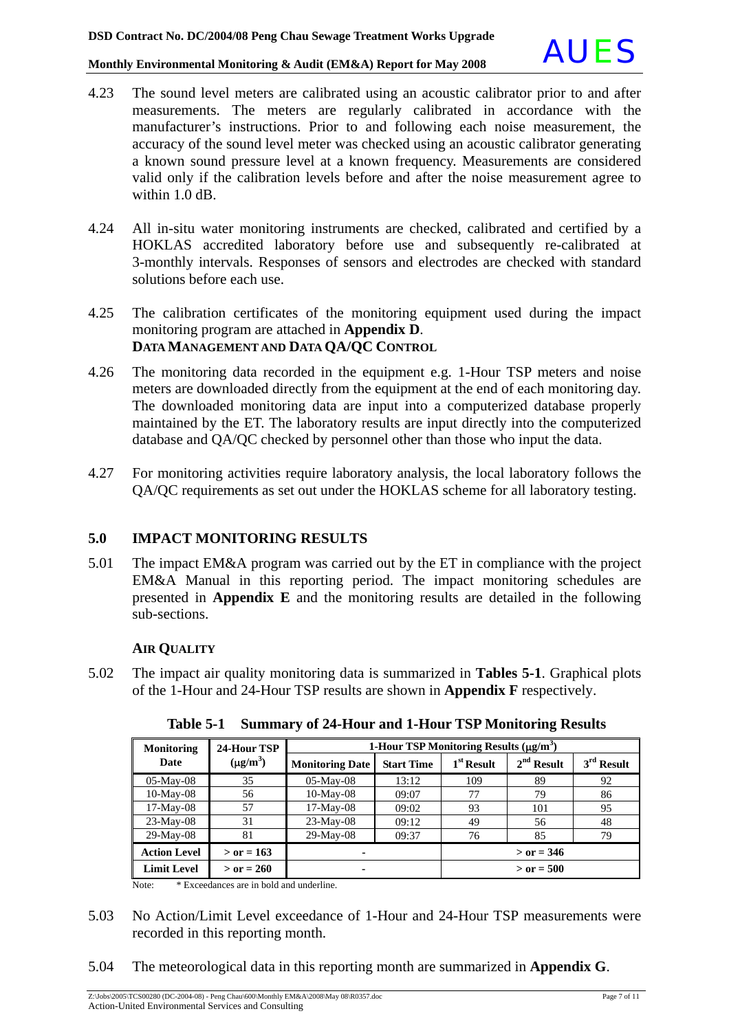- 4.23 The sound level meters are calibrated using an acoustic calibrator prior to and after measurements. The meters are regularly calibrated in accordance with the manufacturer's instructions. Prior to and following each noise measurement, the accuracy of the sound level meter was checked using an acoustic calibrator generating a known sound pressure level at a known frequency. Measurements are considered valid only if the calibration levels before and after the noise measurement agree to within 1.0 dB.
- 4.24 All in-situ water monitoring instruments are checked, calibrated and certified by a HOKLAS accredited laboratory before use and subsequently re-calibrated at 3-monthly intervals. Responses of sensors and electrodes are checked with standard solutions before each use.
- 4.25 The calibration certificates of the monitoring equipment used during the impact monitoring program are attached in **Appendix D**. **DATA MANAGEMENT AND DATA QA/QC CONTROL**
- 4.26 The monitoring data recorded in the equipment e.g. 1-Hour TSP meters and noise meters are downloaded directly from the equipment at the end of each monitoring day. The downloaded monitoring data are input into a computerized database properly maintained by the ET. The laboratory results are input directly into the computerized database and QA/QC checked by personnel other than those who input the data.
- 4.27 For monitoring activities require laboratory analysis, the local laboratory follows the QA/QC requirements as set out under the HOKLAS scheme for all laboratory testing.

### **5.0 IMPACT MONITORING RESULTS**

5.01 The impact EM&A program was carried out by the ET in compliance with the project EM&A Manual in this reporting period. The impact monitoring schedules are presented in **Appendix E** and the monitoring results are detailed in the following sub-sections.

#### **AIR QUALITY**

5.02 The impact air quality monitoring data is summarized in **Tables 5-1**. Graphical plots of the 1-Hour and 24-Hour TSP results are shown in **Appendix F** respectively.

| <b>Monitoring</b>   | 24-Hour TSP   | 1-Hour TSP Monitoring Results $(\mu g/m^3)$ |                   |              |              |              |
|---------------------|---------------|---------------------------------------------|-------------------|--------------|--------------|--------------|
| Date                | $(\mu g/m^3)$ | <b>Monitoring Date</b>                      | <b>Start Time</b> | $1st$ Result | $2nd$ Result | $3rd$ Result |
| $05-Mav-08$         | 35            | $05-Mav-08$                                 | 13:12             | 109          | 89           | 92           |
| $10-May-08$         | 56            | $10$ -May-08                                | 09:07             | 77           | 79           | 86           |
| $17-May-08$         | 57            | $17-May-08$                                 | 09:02             | 93           | 101          | 95           |
| $23-May-08$         | 31            | $23-Mav-08$                                 | 09:12             | 49           | 56           | 48           |
| 29-May-08           | 81            | 29-May-08                                   | 09:37             | 76           | 85           | 79           |
| <b>Action Level</b> | $>$ or = 163  |                                             |                   | $>$ or = 346 |              |              |
| <b>Limit Level</b>  | $>$ or = 260  |                                             |                   |              | $>$ or = 500 |              |

**Table 5-1 Summary of 24-Hour and 1-Hour TSP Monitoring Results** 

Note: \* Exceedances are in bold and underline.

- 5.03 No Action/Limit Level exceedance of 1-Hour and 24-Hour TSP measurements were recorded in this reporting month.
- 5.04 The meteorological data in this reporting month are summarized in **Appendix G**.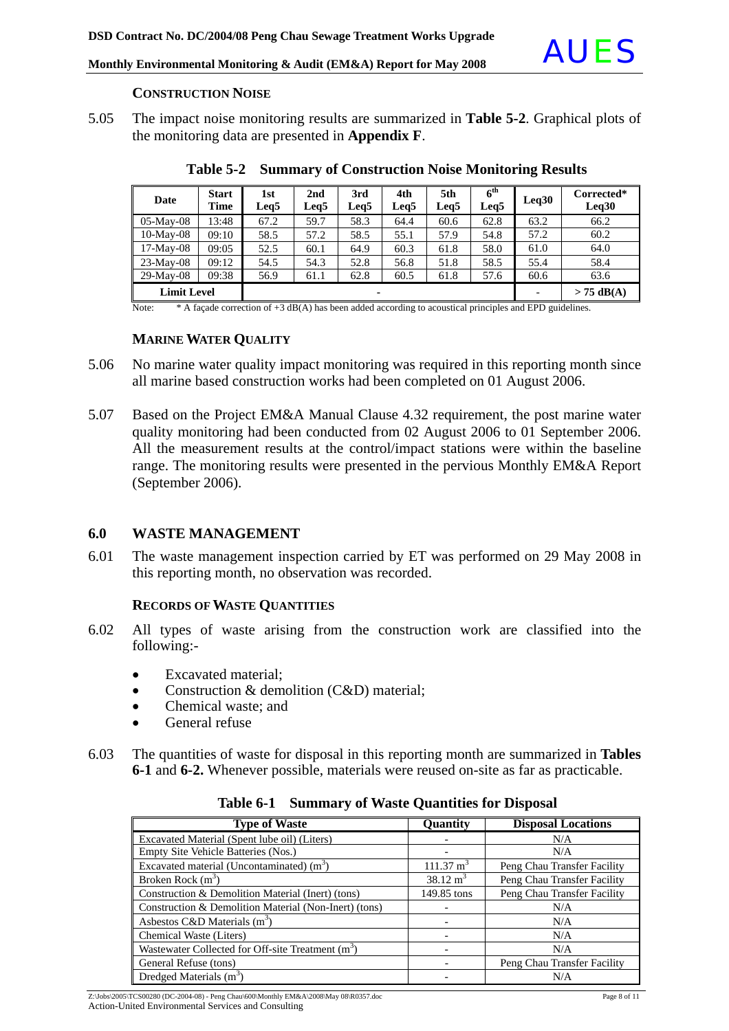

#### **CONSTRUCTION NOISE**

5.05 The impact noise monitoring results are summarized in **Table 5-2**. Graphical plots of the monitoring data are presented in **Appendix F**.

| Date               | <b>Start</b><br>Time | 1st<br>Leg5 | 2nd<br>Leq5 | 3rd<br>Leq5 | 4th<br>Leg5 | 5th<br>Leg5 | 6 <sup>th</sup><br>Leq5 | Leq30 | Corrected*<br>Leq30 |
|--------------------|----------------------|-------------|-------------|-------------|-------------|-------------|-------------------------|-------|---------------------|
| $05$ -May- $08$    | 13:48                | 67.2        | 59.7        | 58.3        | 64.4        | 60.6        | 62.8                    | 63.2  | 66.2                |
| $10-May-08$        | 09:10                | 58.5        | 57.2        | 58.5        | 55.1        | 57.9        | 54.8                    | 57.2  | 60.2                |
| $17-May-08$        | 09:05                | 52.5        | 60.1        | 64.9        | 60.3        | 61.8        | 58.0                    | 61.0  | 64.0                |
| $23-May-08$        | 09:12                | 54.5        | 54.3        | 52.8        | 56.8        | 51.8        | 58.5                    | 55.4  | 58.4                |
| $29-Mav-08$        | 09:38                | 56.9        | 61.1        | 62.8        | 60.5        | 61.8        | 57.6                    | 60.6  | 63.6                |
| <b>Limit Level</b> |                      |             |             | ۰           |             |             |                         |       | $> 75$ dB(A)        |

**Table 5-2 Summary of Construction Noise Monitoring Results** 

Note: \* A façade correction of +3 dB(A) has been added according to acoustical principles and EPD guidelines.

#### **MARINE WATER QUALITY**

- 5.06 No marine water quality impact monitoring was required in this reporting month since all marine based construction works had been completed on 01 August 2006.
- 5.07 Based on the Project EM&A Manual Clause 4.32 requirement, the post marine water quality monitoring had been conducted from 02 August 2006 to 01 September 2006. All the measurement results at the control/impact stations were within the baseline range. The monitoring results were presented in the pervious Monthly EM&A Report (September 2006).

#### **6.0 WASTE MANAGEMENT**

6.01 The waste management inspection carried by ET was performed on 29 May 2008 in this reporting month, no observation was recorded.

#### **RECORDS OF WASTE QUANTITIES**

- 6.02 All types of waste arising from the construction work are classified into the following:-
	- Excavated material;
	- Construction & demolition (C&D) material;
	- Chemical waste: and
	- General refuse
- 6.03 The quantities of waste for disposal in this reporting month are summarized in **Tables 6-1** and **6-2.** Whenever possible, materials were reused on-site as far as practicable.

| <b>Type of Waste</b>                                          | Quantity             | <b>Disposal Locations</b>   |
|---------------------------------------------------------------|----------------------|-----------------------------|
| Excavated Material (Spent lube oil) (Liters)                  |                      | N/A                         |
| Empty Site Vehicle Batteries (Nos.)                           |                      | N/A                         |
| Excavated material (Uncontaminated) $(m3)$                    | $111.37 \text{ m}^3$ | Peng Chau Transfer Facility |
| Broken Rock $(m3)$                                            | $38.12 \text{ m}^3$  | Peng Chau Transfer Facility |
| Construction & Demolition Material (Inert) (tons)             | 149.85 tons          | Peng Chau Transfer Facility |
| Construction & Demolition Material (Non-Inert) (tons)         |                      | N/A                         |
| Asbestos C&D Materials $(m^3)$                                |                      | N/A                         |
| Chemical Waste (Liters)                                       |                      | N/A                         |
| Wastewater Collected for Off-site Treatment (m <sup>3</sup> ) |                      | N/A                         |
| General Refuse (tons)                                         |                      | Peng Chau Transfer Facility |
| Dredged Materials $(m3)$                                      |                      | N/A                         |

**Table 6-1 Summary of Waste Quantities for Disposal**

Z:\Jobs\2005\TCS00280 (DC-2004-08) - Peng Chau\600\Monthly EM&A\2008\May 08\R0357.doc Page 8 of 11 Action-United Environmental Services and Consulting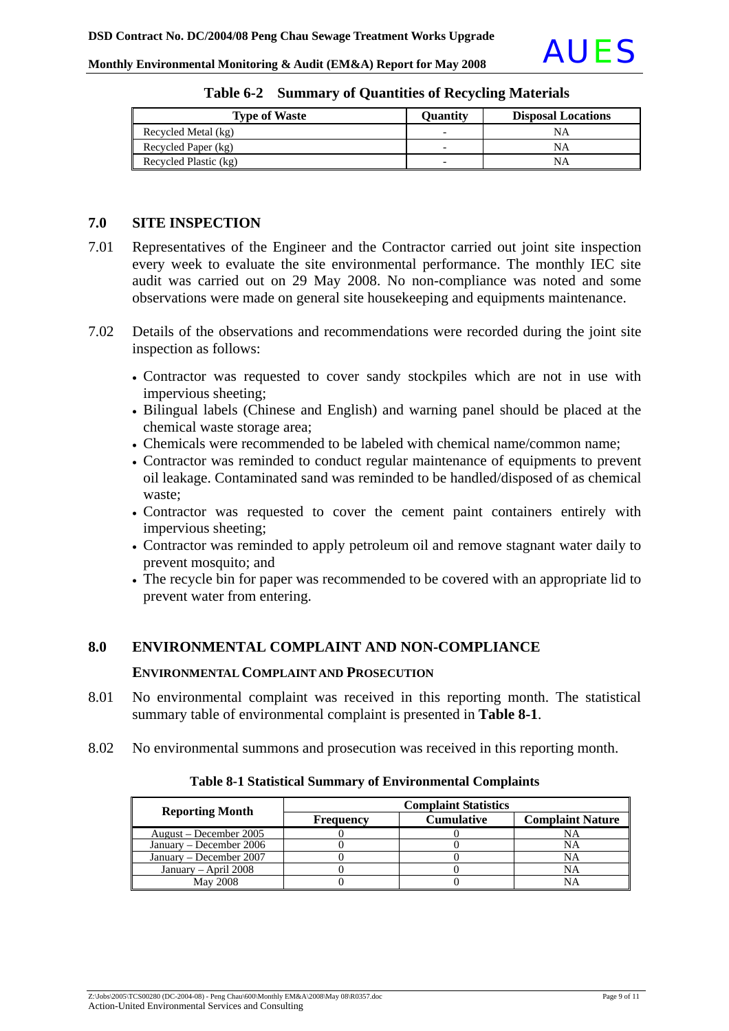| <b>Type of Waste</b>  | <b>Ouantity</b>          | <b>Disposal Locations</b> |
|-----------------------|--------------------------|---------------------------|
| Recycled Metal (kg)   | $\overline{\phantom{0}}$ | NΑ                        |
| Recycled Paper (kg)   | $\overline{\phantom{0}}$ | NΑ                        |
| Recycled Plastic (kg) | $\overline{\phantom{0}}$ | NΑ                        |

**Table 6-2 Summary of Quantities of Recycling Materials**

#### **7.0 SITE INSPECTION**

- 7.01 Representatives of the Engineer and the Contractor carried out joint site inspection every week to evaluate the site environmental performance. The monthly IEC site audit was carried out on 29 May 2008. No non-compliance was noted and some observations were made on general site housekeeping and equipments maintenance.
- 7.02 Details of the observations and recommendations were recorded during the joint site inspection as follows:
	- Contractor was requested to cover sandy stockpiles which are not in use with impervious sheeting;
	- Bilingual labels (Chinese and English) and warning panel should be placed at the chemical waste storage area;
	- Chemicals were recommended to be labeled with chemical name/common name;
	- Contractor was reminded to conduct regular maintenance of equipments to prevent oil leakage. Contaminated sand was reminded to be handled/disposed of as chemical waste;
	- Contractor was requested to cover the cement paint containers entirely with impervious sheeting;
	- Contractor was reminded to apply petroleum oil and remove stagnant water daily to prevent mosquito; and
	- The recycle bin for paper was recommended to be covered with an appropriate lid to prevent water from entering.

#### **8.0 ENVIRONMENTAL COMPLAINT AND NON-COMPLIANCE**

#### **ENVIRONMENTAL COMPLAINT AND PROSECUTION**

- 8.01 No environmental complaint was received in this reporting month. The statistical summary table of environmental complaint is presented in **Table 8-1**.
- 8.02 No environmental summons and prosecution was received in this reporting month.

#### **Table 8-1 Statistical Summary of Environmental Complaints**

| <b>Reporting Month</b>  | <b>Complaint Statistics</b> |                   |                         |  |  |
|-------------------------|-----------------------------|-------------------|-------------------------|--|--|
|                         | <b>Frequency</b>            | <b>Cumulative</b> | <b>Complaint Nature</b> |  |  |
| August – December 2005  |                             |                   | NΑ                      |  |  |
| January – December 2006 |                             |                   | NA                      |  |  |
| January – December 2007 |                             |                   | NA                      |  |  |
| January – April $2008$  |                             |                   | NA                      |  |  |
| May 2008                |                             |                   | NA                      |  |  |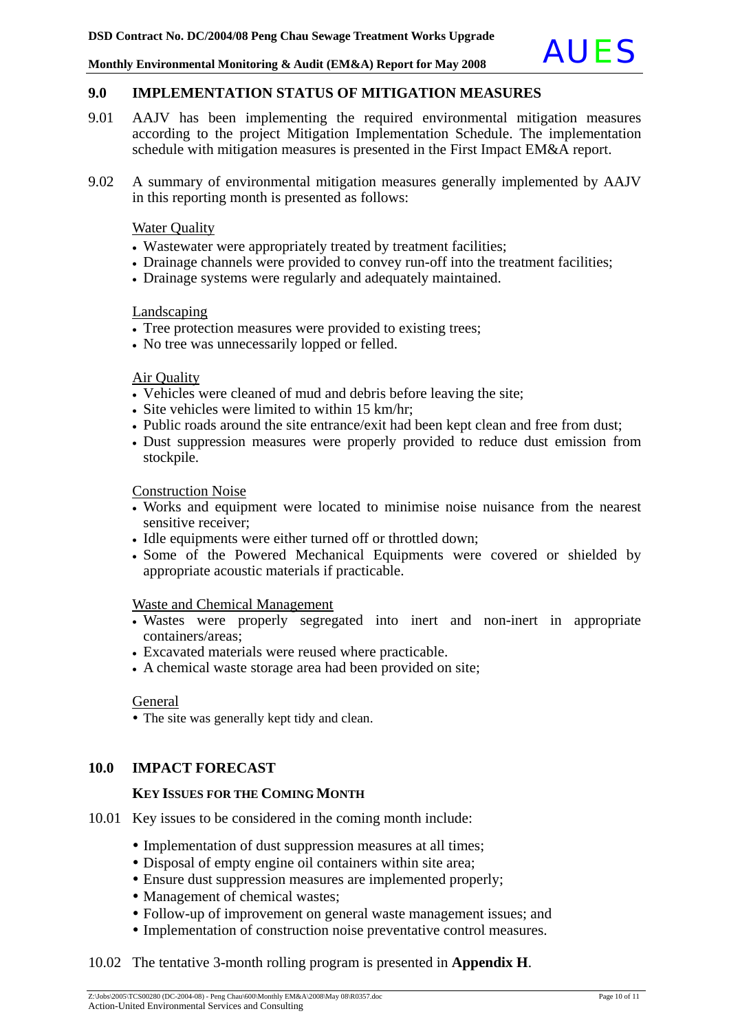#### **9.0 IMPLEMENTATION STATUS OF MITIGATION MEASURES**

- 9.01 AAJV has been implementing the required environmental mitigation measures according to the project Mitigation Implementation Schedule. The implementation schedule with mitigation measures is presented in the First Impact EM&A report.
- 9.02 A summary of environmental mitigation measures generally implemented by AAJV in this reporting month is presented as follows:

#### **Water Quality**

- Wastewater were appropriately treated by treatment facilities;
- Drainage channels were provided to convey run-off into the treatment facilities;
- Drainage systems were regularly and adequately maintained.

#### Landscaping

- Tree protection measures were provided to existing trees;
- No tree was unnecessarily lopped or felled.

#### Air Quality

- Vehicles were cleaned of mud and debris before leaving the site;
- Site vehicles were limited to within 15 km/hr;
- Public roads around the site entrance/exit had been kept clean and free from dust;
- Dust suppression measures were properly provided to reduce dust emission from stockpile.

Construction Noise

- Works and equipment were located to minimise noise nuisance from the nearest sensitive receiver;
- Idle equipments were either turned off or throttled down;
- Some of the Powered Mechanical Equipments were covered or shielded by appropriate acoustic materials if practicable.

#### Waste and Chemical Management

- Wastes were properly segregated into inert and non-inert in appropriate containers/areas;
- Excavated materials were reused where practicable.
- A chemical waste storage area had been provided on site;

#### General

• The site was generally kept tidy and clean.

#### **10.0 IMPACT FORECAST**

#### **KEY ISSUES FOR THE COMING MONTH**

- 10.01 Key issues to be considered in the coming month include:
	- Implementation of dust suppression measures at all times;
	- Disposal of empty engine oil containers within site area;
	- Ensure dust suppression measures are implemented properly;
	- Management of chemical wastes;
	- Follow-up of improvement on general waste management issues; and
	- Implementation of construction noise preventative control measures.

#### 10.02 The tentative 3-month rolling program is presented in **Appendix H**.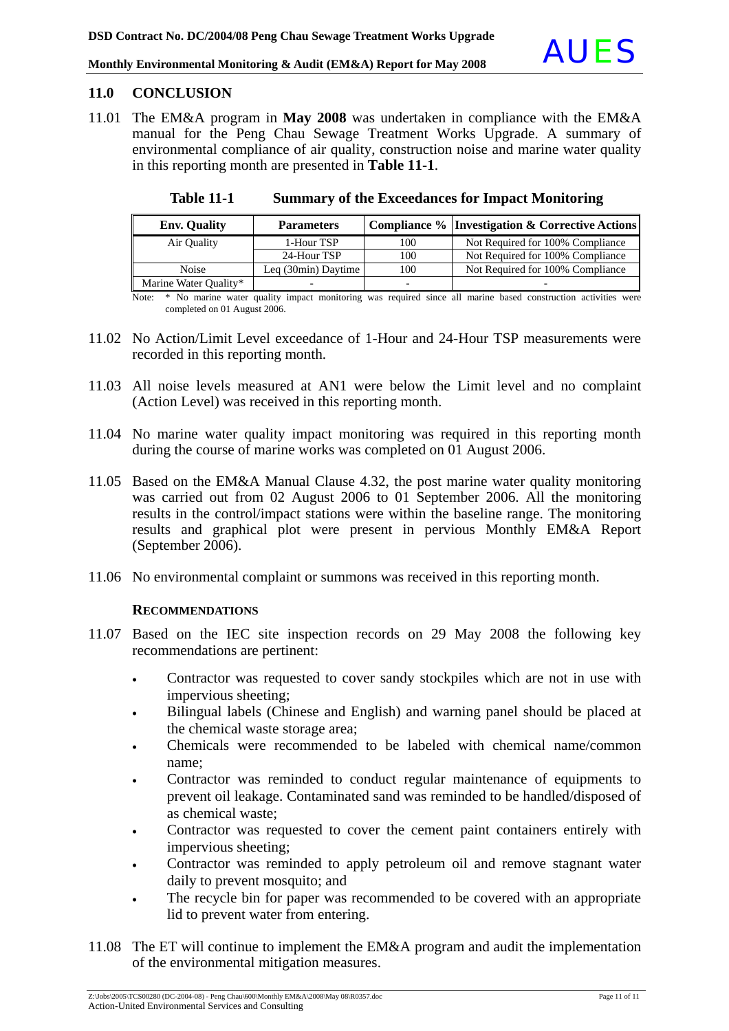#### **11.0 CONCLUSION**

11.01 The EM&A program in **May 2008** was undertaken in compliance with the EM&A manual for the Peng Chau Sewage Treatment Works Upgrade. A summary of environmental compliance of air quality, construction noise and marine water quality in this reporting month are presented in **Table 11-1**.

| <b>Env. Quality</b>   | <b>Parameters</b>   |     | Compliance %   Investigation & Corrective Actions∥ |
|-----------------------|---------------------|-----|----------------------------------------------------|
| Air Quality           | 1-Hour TSP          | 100 | Not Required for 100% Compliance                   |
|                       | 24-Hour TSP         | 100 | Not Required for 100% Compliance                   |
| <b>Noise</b>          | Leq (30min) Daytime | 100 | Not Required for 100% Compliance                   |
| Marine Water Quality* |                     |     |                                                    |

**Table 11-1 Summary of the Exceedances for Impact Monitoring**

Note: \* No marine water quality impact monitoring was required since all marine based construction activities were completed on 01 August 2006.

- 11.02 No Action/Limit Level exceedance of 1-Hour and 24-Hour TSP measurements were recorded in this reporting month.
- 11.03 All noise levels measured at AN1 were below the Limit level and no complaint (Action Level) was received in this reporting month.
- 11.04 No marine water quality impact monitoring was required in this reporting month during the course of marine works was completed on 01 August 2006.
- 11.05 Based on the EM&A Manual Clause 4.32, the post marine water quality monitoring was carried out from 02 August 2006 to 01 September 2006. All the monitoring results in the control/impact stations were within the baseline range. The monitoring results and graphical plot were present in pervious Monthly EM&A Report (September 2006).
- 11.06 No environmental complaint or summons was received in this reporting month.

#### **RECOMMENDATIONS**

- 11.07 Based on the IEC site inspection records on 29 May 2008 the following key recommendations are pertinent:
	- Contractor was requested to cover sandy stockpiles which are not in use with impervious sheeting;
	- Bilingual labels (Chinese and English) and warning panel should be placed at the chemical waste storage area;
	- Chemicals were recommended to be labeled with chemical name/common name;
	- Contractor was reminded to conduct regular maintenance of equipments to prevent oil leakage. Contaminated sand was reminded to be handled/disposed of as chemical waste;
	- Contractor was requested to cover the cement paint containers entirely with impervious sheeting;
	- Contractor was reminded to apply petroleum oil and remove stagnant water daily to prevent mosquito; and
	- The recycle bin for paper was recommended to be covered with an appropriate lid to prevent water from entering.
- 11.08 The ET will continue to implement the EM&A program and audit the implementation of the environmental mitigation measures.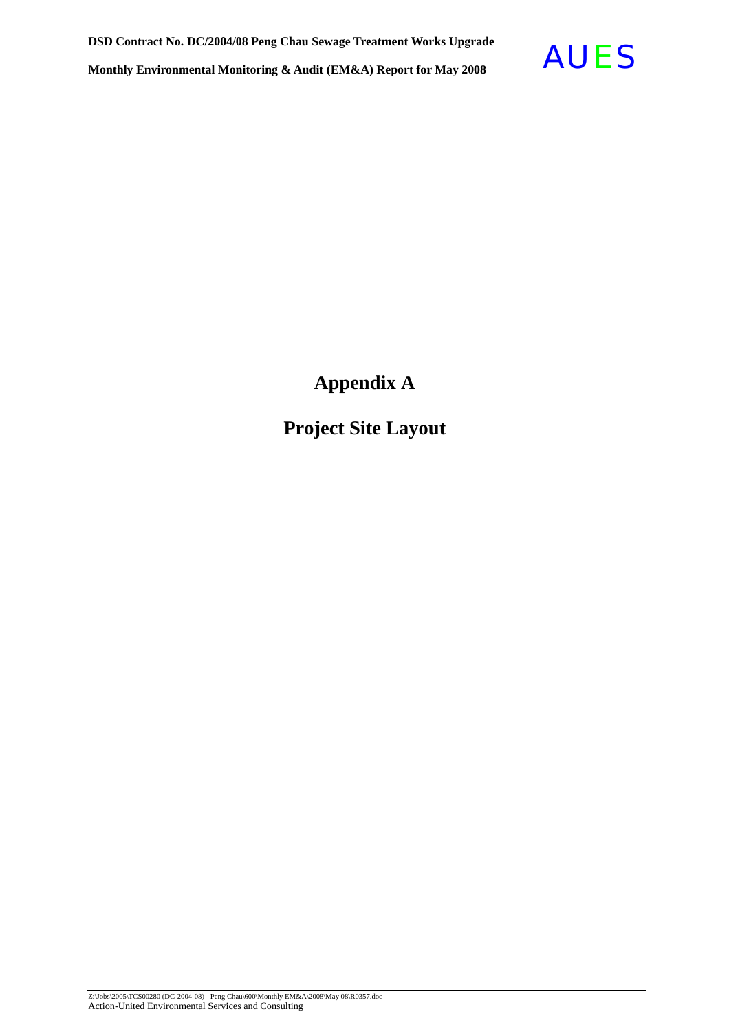

**Appendix A** 

**Project Site Layout**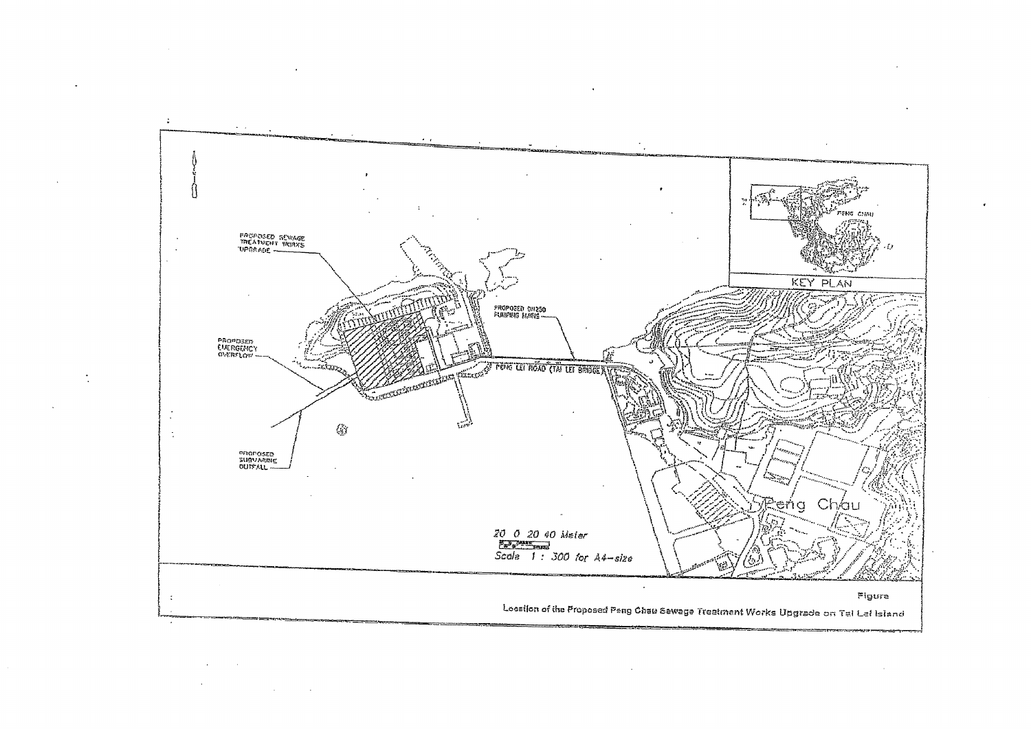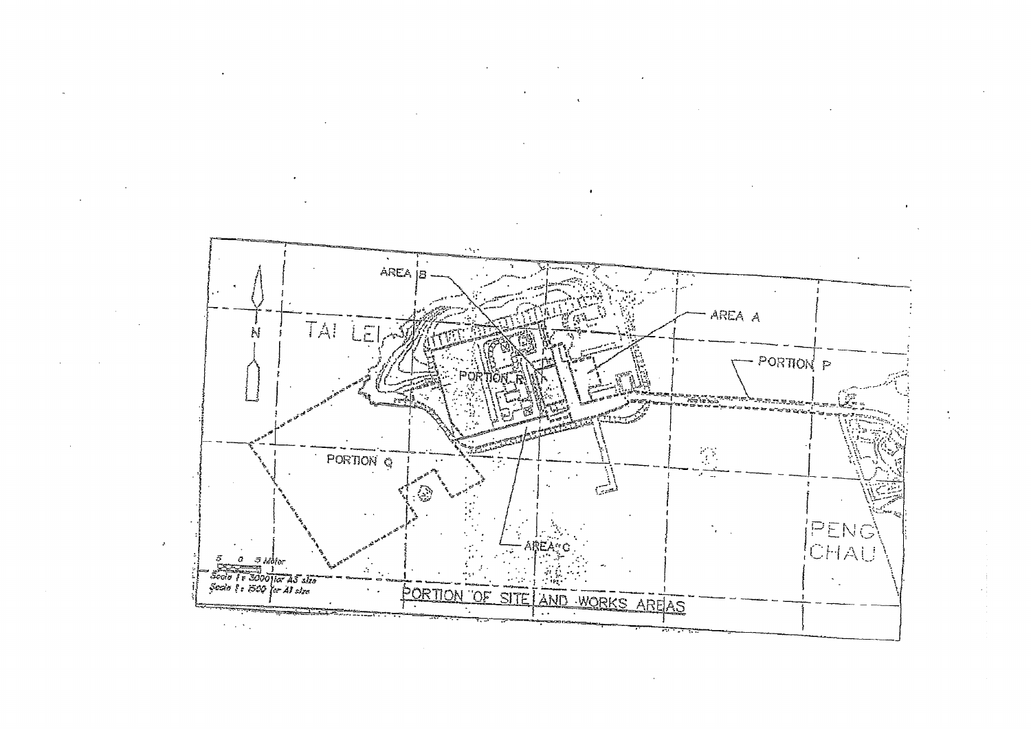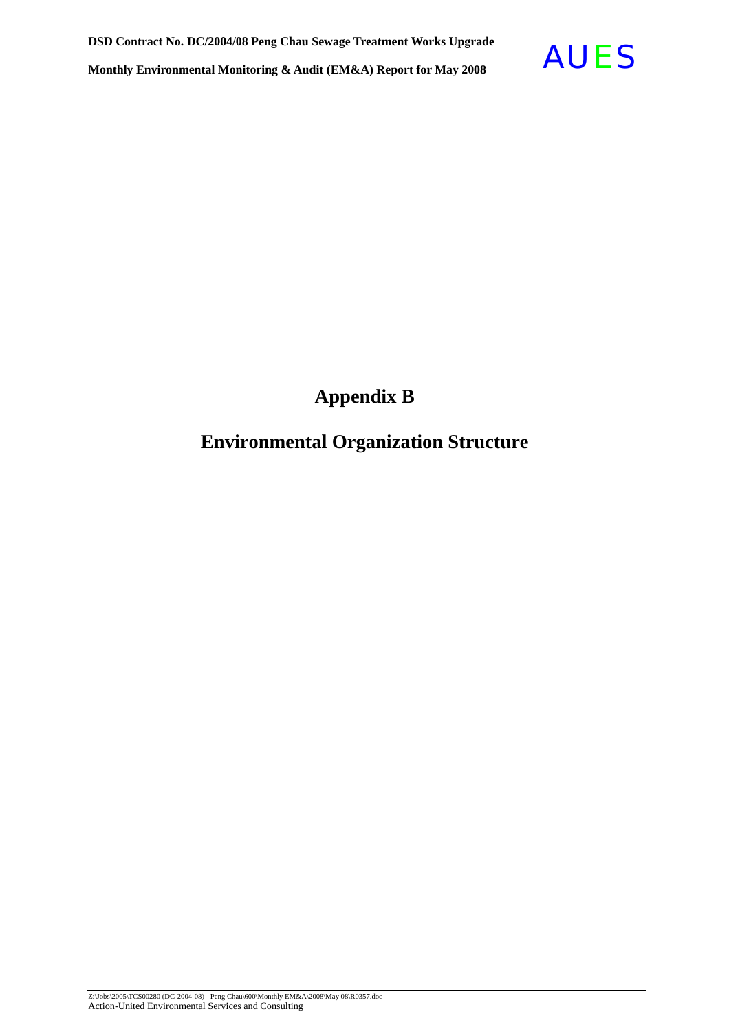

### **Appendix B**

### **Environmental Organization Structure**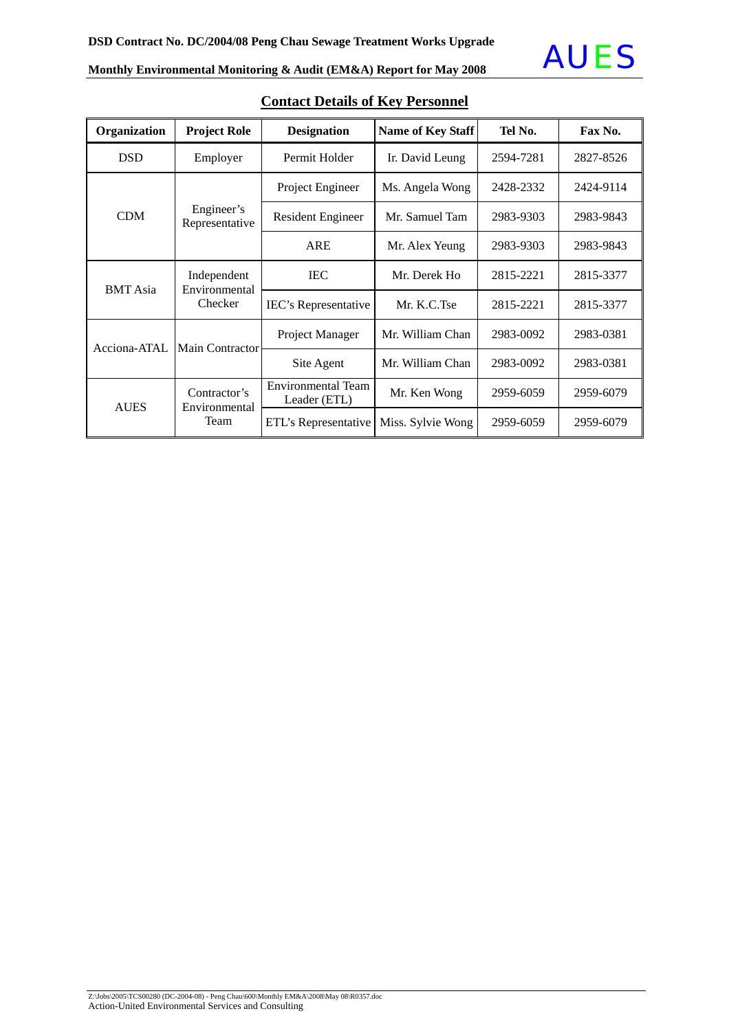

| Organization    | <b>Project Role</b>          | <b>Designation</b>                         | Name of Key Staff | Tel No.   | Fax No.   |
|-----------------|------------------------------|--------------------------------------------|-------------------|-----------|-----------|
| <b>DSD</b>      | Employer                     | Permit Holder                              | Ir. David Leung   | 2594-7281 | 2827-8526 |
|                 |                              | Project Engineer                           | Ms. Angela Wong   |           | 2424-9114 |
| <b>CDM</b>      | Engineer's<br>Representative | Mr. Samuel Tam<br><b>Resident Engineer</b> |                   | 2983-9303 | 2983-9843 |
|                 |                              | <b>ARE</b>                                 | Mr. Alex Yeung    | 2983-9303 | 2983-9843 |
| <b>BMT</b> Asia | Independent<br>Environmental | <b>IEC</b>                                 | Mr. Derek Ho      | 2815-2221 | 2815-3377 |
|                 | Checker                      | IEC's Representative                       | Mr. K.C.Tse       | 2815-2221 | 2815-3377 |
| Acciona-ATAL    | <b>Main Contractor</b>       | Mr. William Chan<br>Project Manager        |                   | 2983-0092 | 2983-0381 |
|                 |                              | Site Agent                                 | Mr. William Chan  | 2983-0092 | 2983-0381 |
| <b>AUES</b>     | Contractor's                 | Environmental Team<br>Leader (ETL)         | Mr. Ken Wong      | 2959-6059 | 2959-6079 |
|                 | Environmental<br>Team        | ETL's Representative                       | Miss. Sylvie Wong | 2959-6059 | 2959-6079 |

### **Contact Details of Key Personnel**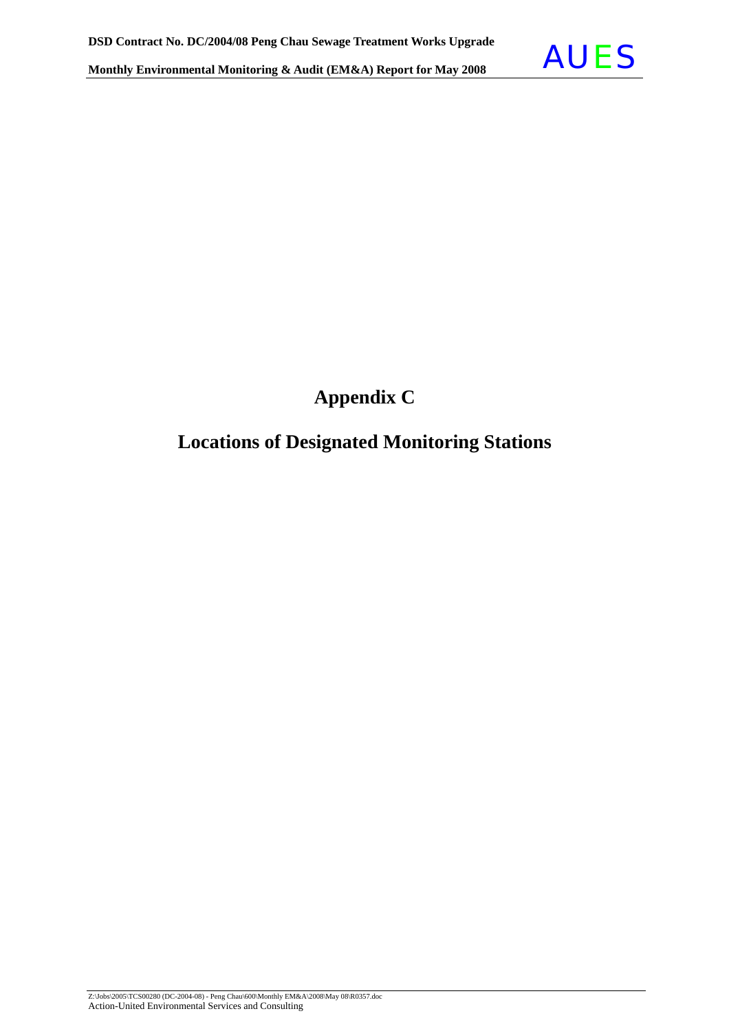

## **Appendix C**

### **Locations of Designated Monitoring Stations**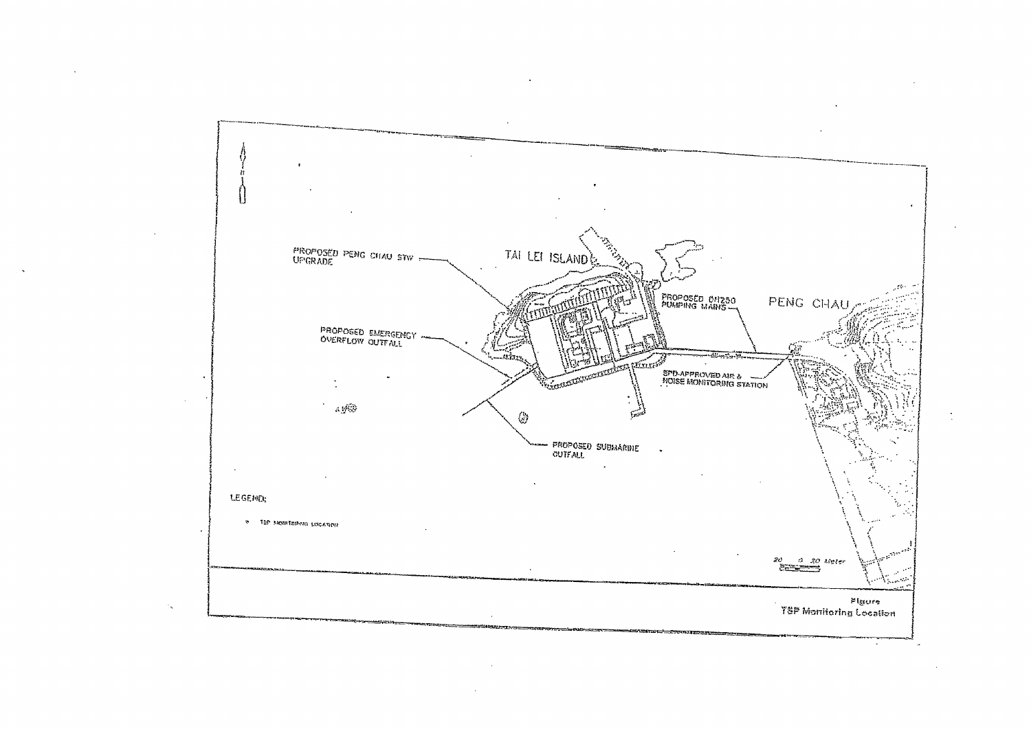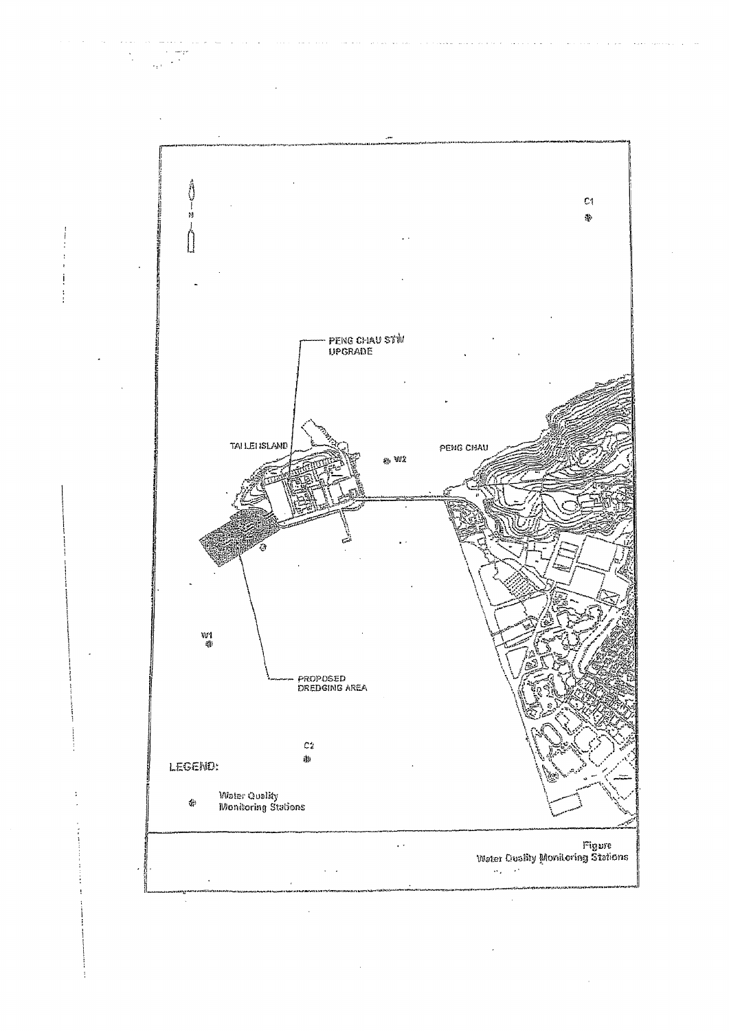

 $\sim$ i<br>San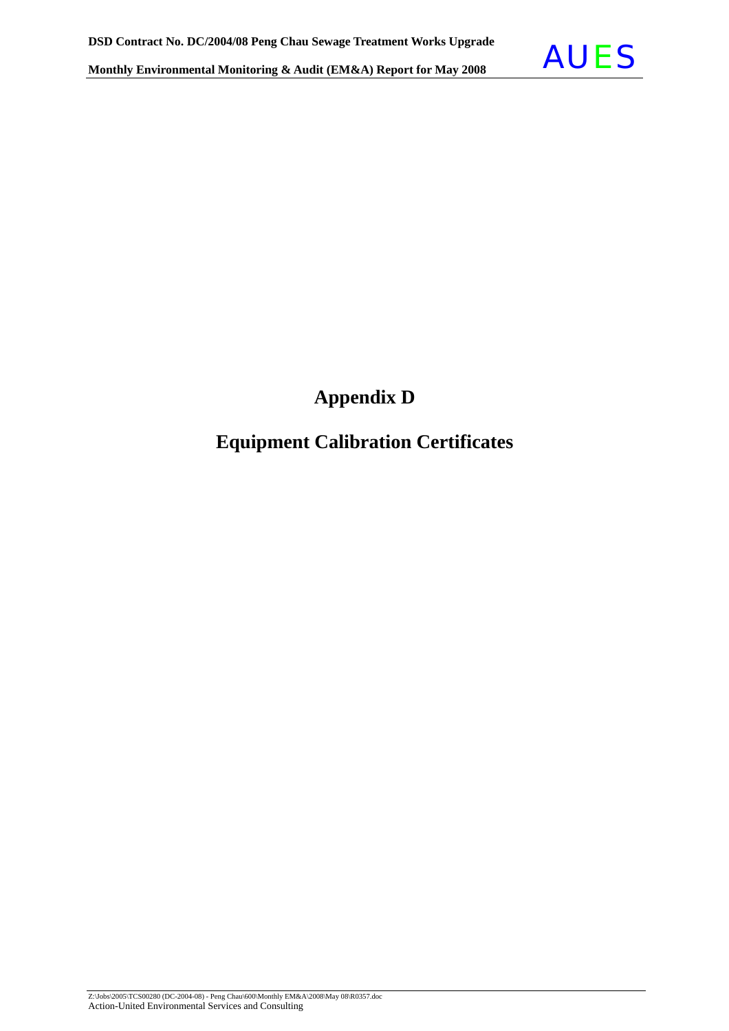

## **Appendix D**

### **Equipment Calibration Certificates**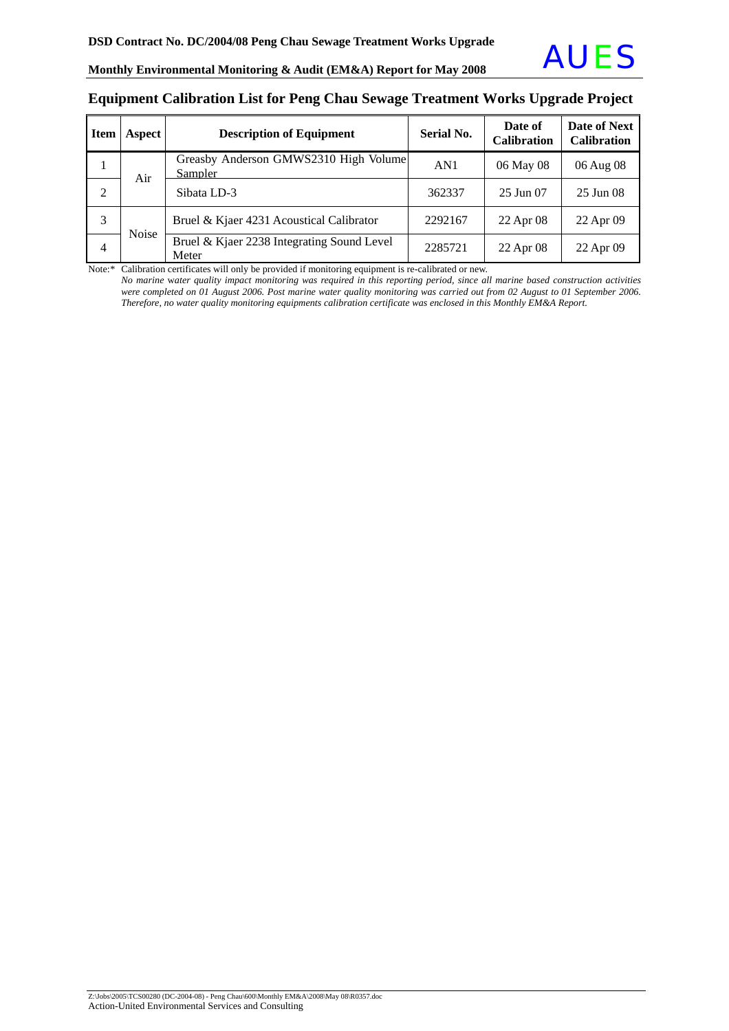#### **Equipment Calibration List for Peng Chau Sewage Treatment Works Upgrade Project**

| <b>Item</b> | Aspect       | <b>Description of Equipment</b>                     | <b>Serial No.</b> | Date of<br><b>Calibration</b> | Date of Next<br><b>Calibration</b> |
|-------------|--------------|-----------------------------------------------------|-------------------|-------------------------------|------------------------------------|
|             | Air          | Greasby Anderson GMWS2310 High Volume<br>Sampler    | AN1               | 06 May 08                     | 06 Aug 08                          |
| 2           |              | Sibata LD-3                                         | 362337            | $25 \text{ Jun } 07$          | 25 Jun 08                          |
| 3           | <b>Noise</b> | Bruel & Kjaer 4231 Acoustical Calibrator            | 2292167           | 22 Apr 08                     | 22 Apr 09                          |
| 4           |              | Bruel & Kjaer 2238 Integrating Sound Level<br>Meter | 2285721           | 22 Apr 08                     | 22 Apr 09                          |

Note:\* Calibration certificates will only be provided if monitoring equipment is re-calibrated or new.

*No marine* w*ater quality impact monitoring was required in this reporting period, since all marine based construction activities were completed on 01 August 2006. Post marine water quality monitoring was carried out from 02 August to 01 September 2006. Therefore, no water quality monitoring equipments calibration certificate was enclosed in this Monthly EM&A Report.*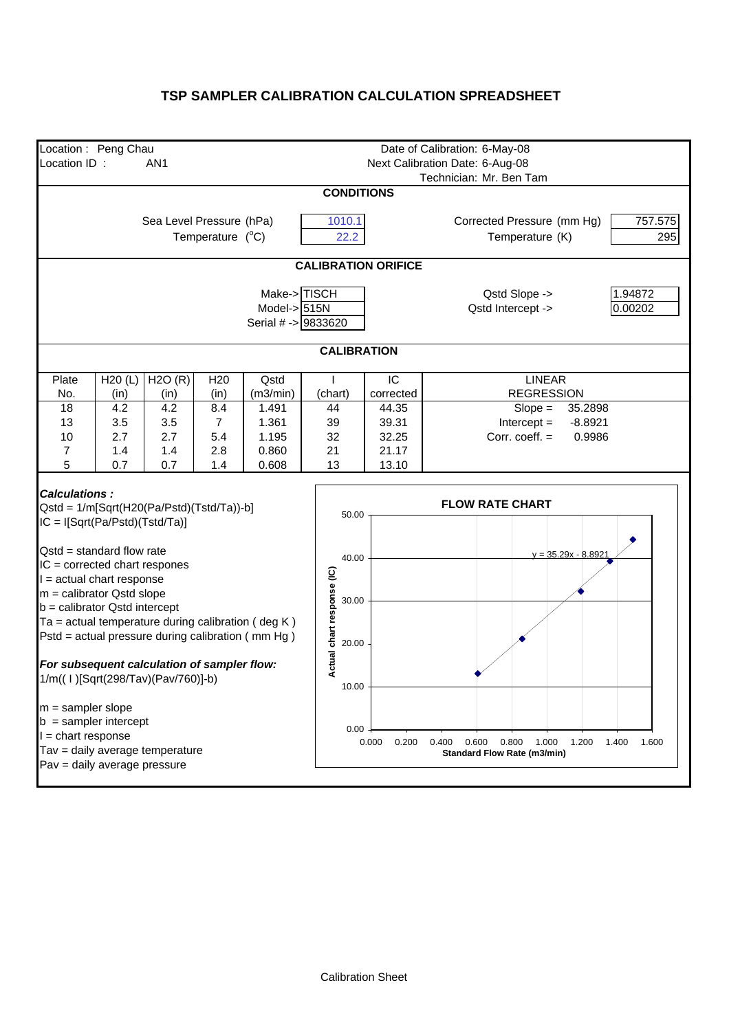#### **TSP SAMPLER CALIBRATION CALCULATION SPREADSHEET**

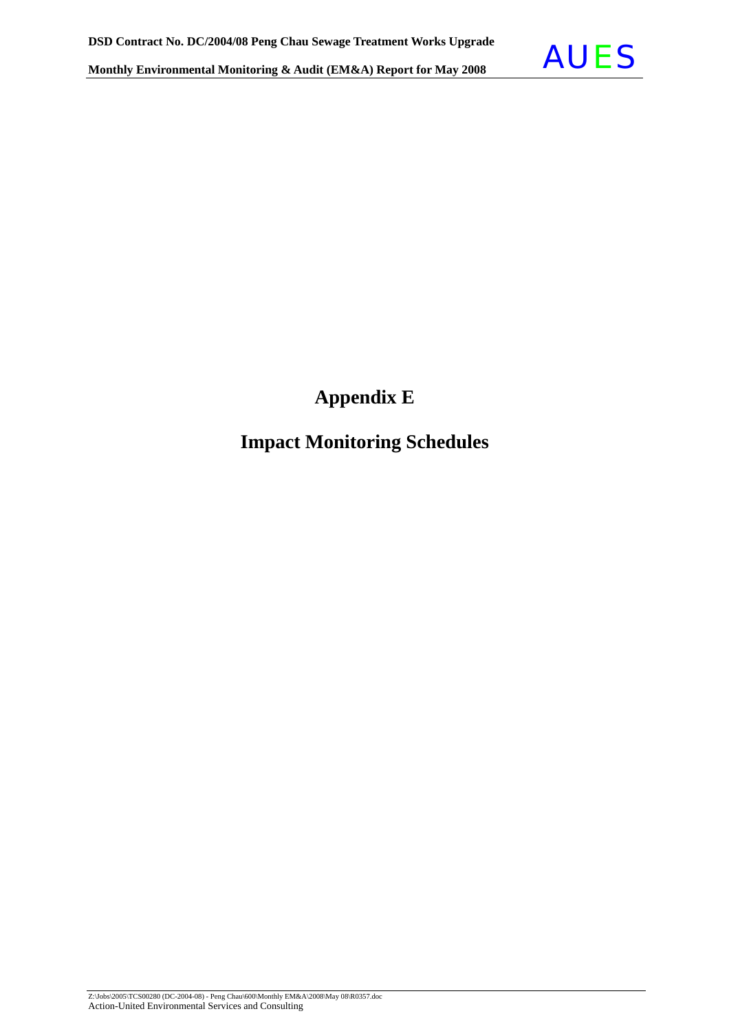

## **Appendix E**

### **Impact Monitoring Schedules**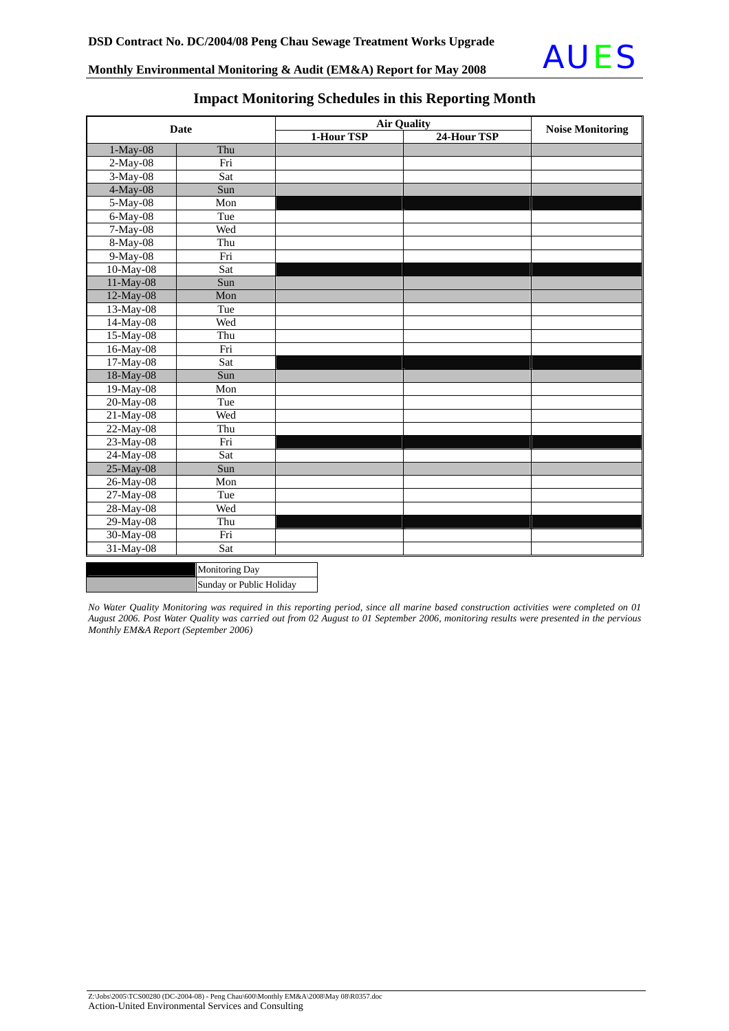

| <b>Date</b> |                          | <b>Air Quality</b> | <b>Noise Monitoring</b> |  |
|-------------|--------------------------|--------------------|-------------------------|--|
|             |                          | 1-Hour TSP         | 24-Hour TSP             |  |
| $1-May-08$  | Thu                      |                    |                         |  |
| $2-May-08$  | Fri                      |                    |                         |  |
| 3-May-08    | Sat                      |                    |                         |  |
| 4-May-08    | Sun                      |                    |                         |  |
| 5-May-08    | Mon                      |                    |                         |  |
| 6-May-08    | Tue                      |                    |                         |  |
| $7-May-08$  | Wed                      |                    |                         |  |
| $8$ -May-08 | Thu                      |                    |                         |  |
| 9-May-08    | Fri                      |                    |                         |  |
| 10-May-08   | Sat                      |                    |                         |  |
| 11-May-08   | Sun                      |                    |                         |  |
| 12-May-08   | Mon                      |                    |                         |  |
| 13-May-08   | Tue                      |                    |                         |  |
| 14-May-08   | Wed                      |                    |                         |  |
| 15-May-08   | Thu                      |                    |                         |  |
| 16-May-08   | Fri                      |                    |                         |  |
| 17-May-08   | Sat                      |                    |                         |  |
| 18-May-08   | Sun                      |                    |                         |  |
| 19-May-08   | Mon                      |                    |                         |  |
| 20-May-08   | Tue                      |                    |                         |  |
| $21-May-08$ | Wed                      |                    |                         |  |
| 22-May-08   | Thu                      |                    |                         |  |
| 23-May-08   | Fri                      |                    |                         |  |
| 24-May-08   | Sat                      |                    |                         |  |
| 25-May-08   | Sun                      |                    |                         |  |
| 26-May-08   | Mon                      |                    |                         |  |
| 27-May-08   | Tue                      |                    |                         |  |
| 28-May-08   | Wed                      |                    |                         |  |
| 29-May-08   | Thu                      |                    |                         |  |
| 30-May-08   | Fri                      |                    |                         |  |
| 31-May-08   | Sat                      |                    |                         |  |
|             | <b>Monitoring Day</b>    |                    |                         |  |
|             | Sunday or Public Holiday |                    |                         |  |

#### **Impact Monitoring Schedules in this Reporting Month**

*No Water Quality Monitoring was required in this reporting period, since all marine based construction activities were completed on 01 August 2006. Post Water Quality was carried out from 02 August to 01 September 2006, monitoring results were presented in the pervious Monthly EM&A Report (September 2006)*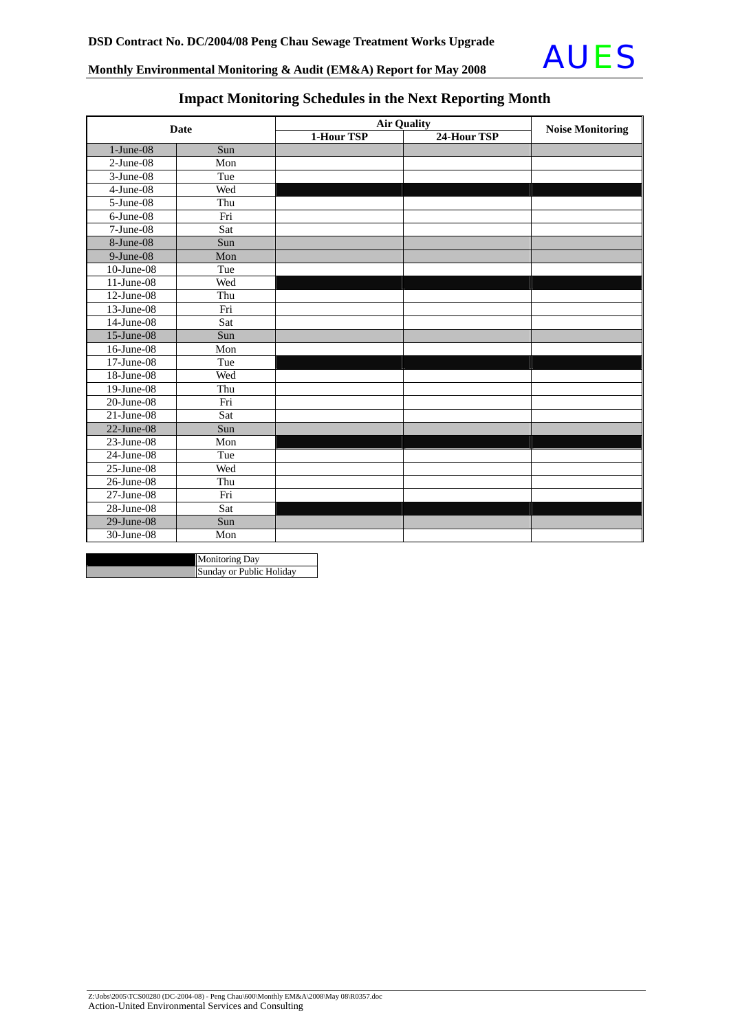

### **Impact Monitoring Schedules in the Next Reporting Month**

| Date             |     | <b>Air Quality</b> |             |                         |
|------------------|-----|--------------------|-------------|-------------------------|
|                  |     | 1-Hour TSP         | 24-Hour TSP | <b>Noise Monitoring</b> |
| $1-June-08$      | Sun |                    |             |                         |
| $2-June-08$      | Mon |                    |             |                         |
| $3-June-08$      | Tue |                    |             |                         |
| $4-June-08$      | Wed |                    |             |                         |
| 5-June-08        | Thu |                    |             |                         |
| 6-June-08        | Fri |                    |             |                         |
| $7-June-08$      | Sat |                    |             |                         |
| 8-June-08        | Sun |                    |             |                         |
| $9$ -June-08     | Mon |                    |             |                         |
| 10-June-08       | Tue |                    |             |                         |
| 11-June-08       | Wed |                    |             |                         |
| $12$ -June-08    | Thu |                    |             |                         |
| 13-June-08       | Fri |                    |             |                         |
| 14-June-08       | Sat |                    |             |                         |
| 15-June-08       | Sun |                    |             |                         |
| 16-June-08       | Mon |                    |             |                         |
| $17$ -June-08    | Tue |                    |             |                         |
| 18-June-08       | Wed |                    |             |                         |
| $19$ -June-08    | Thu |                    |             |                         |
| $20$ -June- $08$ | Fri |                    |             |                         |
| $21$ -June-08    | Sat |                    |             |                         |
| $22$ -June-08    | Sun |                    |             |                         |
| $23$ -June-08    | Mon |                    |             |                         |
| $24$ -June-08    | Tue |                    |             |                         |
| $25$ -June-08    | Wed |                    |             |                         |
| 26-June-08       | Thu |                    |             |                         |
| $27$ -June-08    | Fri |                    |             |                         |
| 28-June-08       | Sat |                    |             |                         |
| $29$ -June-08    | Sun |                    |             |                         |
| 30-June-08       | Mon |                    |             |                         |

| <b>Monitoring Day</b>    |
|--------------------------|
| Sunday or Public Holiday |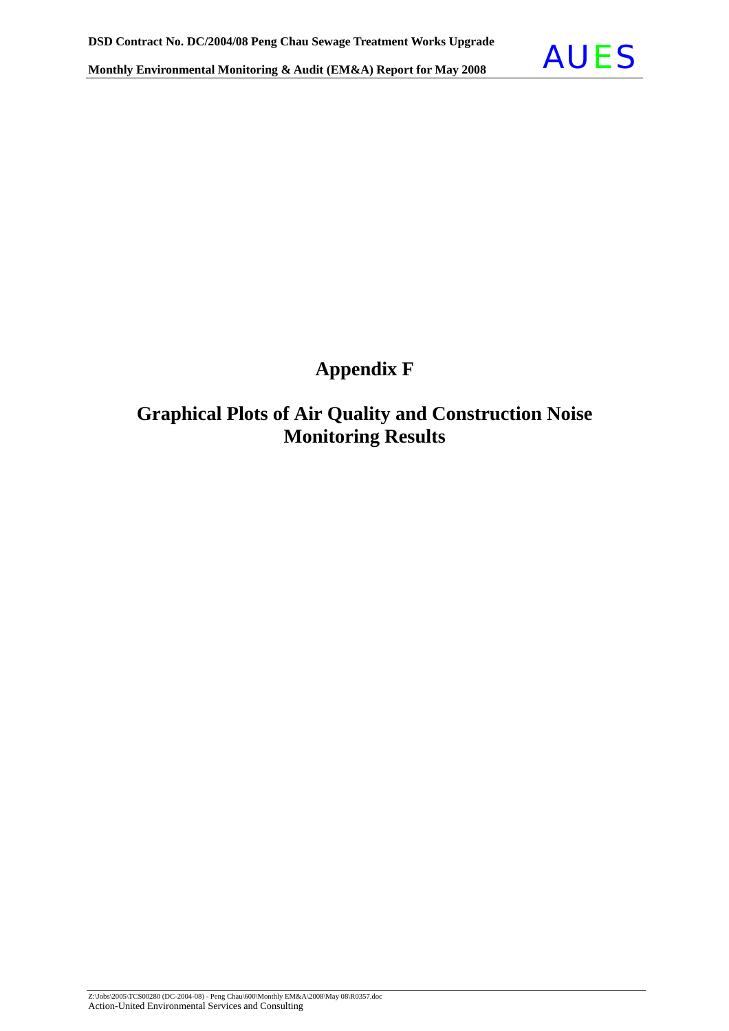

## **Appendix F**

### **Graphical Plots of Air Quality and Construction Noise Monitoring Results**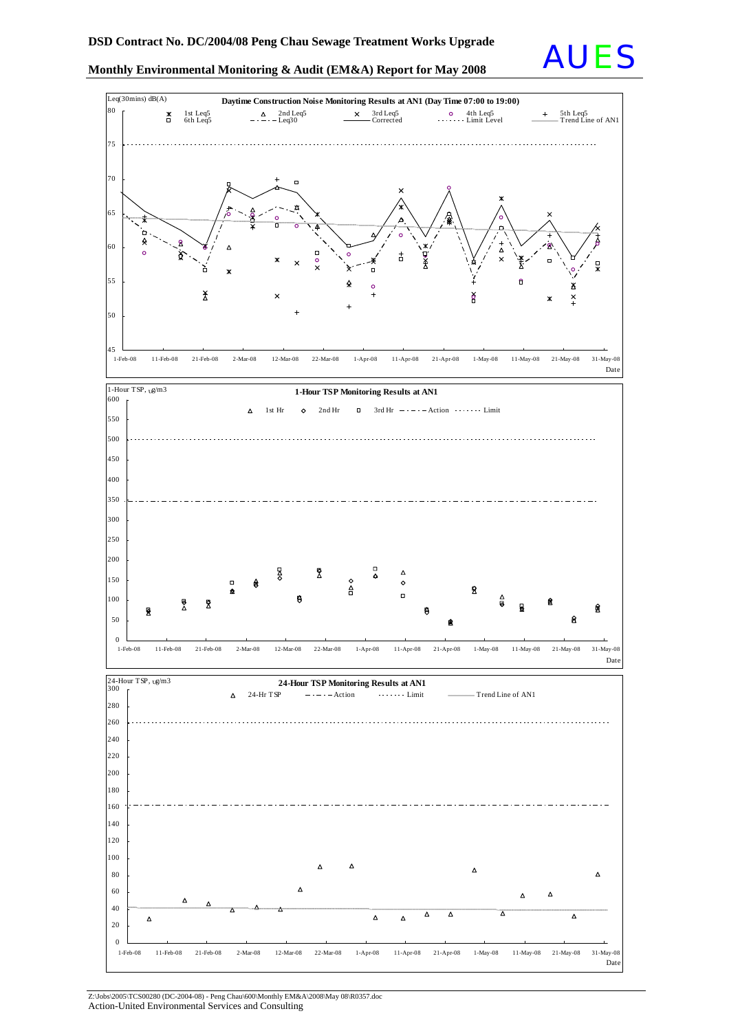



Z:\Jobs\2005\TCS00280 (DC-2004-08) - Peng Chau\600\Monthly EM&A\2008\May 08\R0357.doc Action-United Environmental Services and Consulting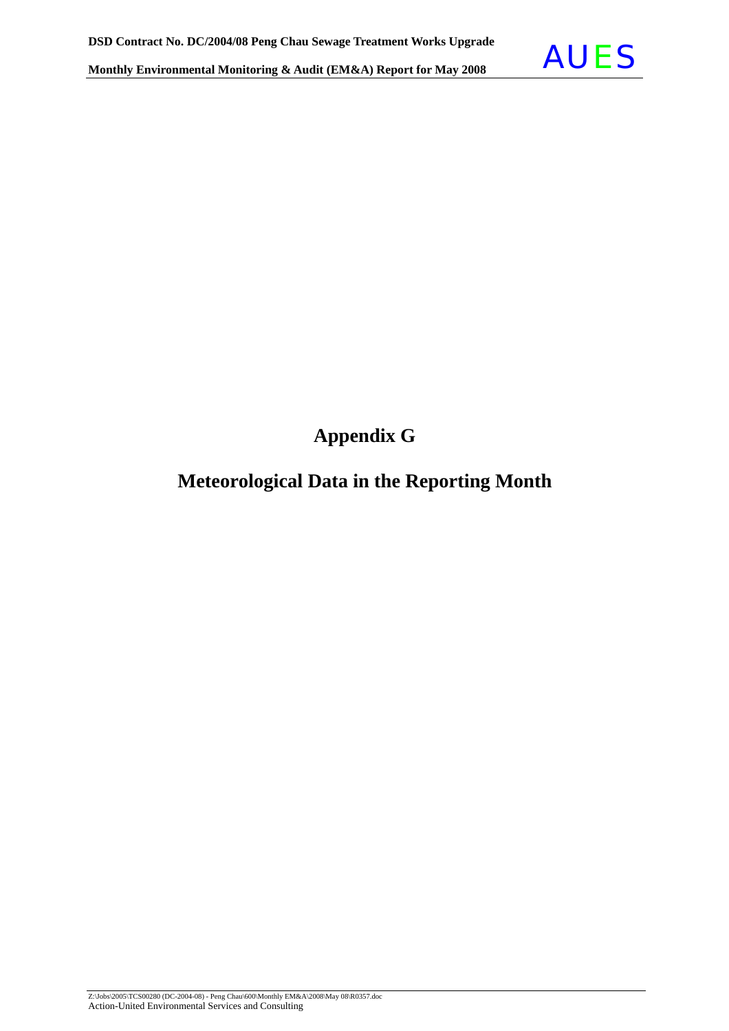

**Appendix G** 

### **Meteorological Data in the Reporting Month**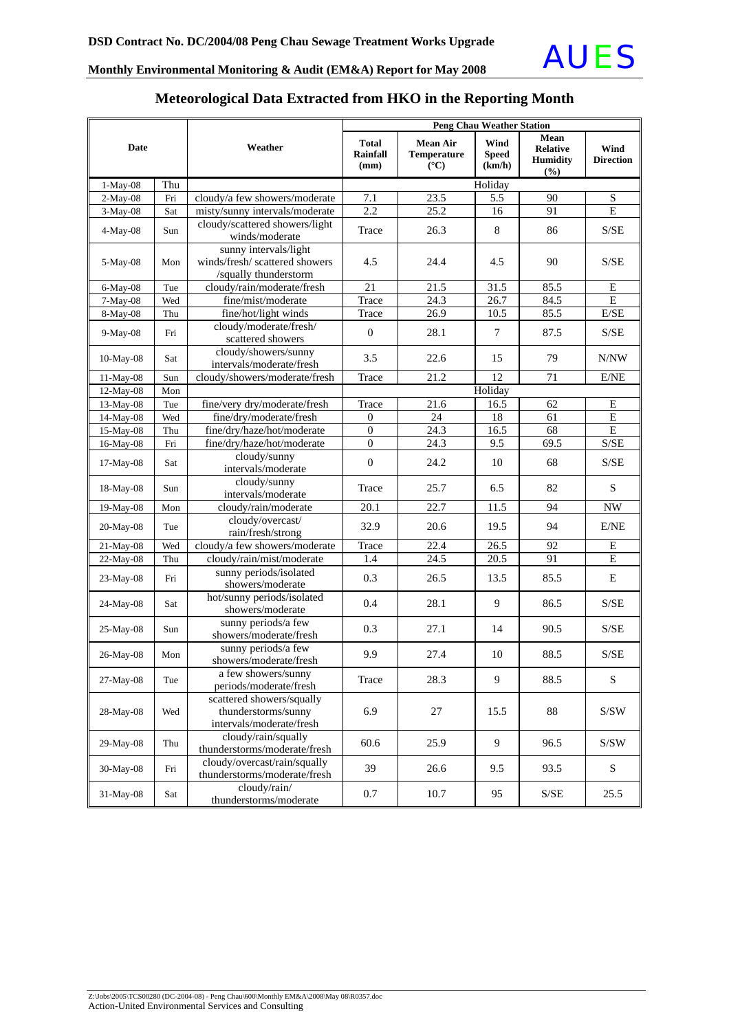

#### **Meteorological Data Extracted from HKO in the Reporting Month**

| <b>Date</b>                                                                                      |                                                      |                                                                                  | <b>Peng Chau Weather Station</b> |                                                   |                                |                                                   |                          |
|--------------------------------------------------------------------------------------------------|------------------------------------------------------|----------------------------------------------------------------------------------|----------------------------------|---------------------------------------------------|--------------------------------|---------------------------------------------------|--------------------------|
|                                                                                                  |                                                      | Weather                                                                          | <b>Total</b><br>Rainfall<br>(mm) | <b>Mean Air</b><br>Temperature<br>$({}^{\circ}C)$ | Wind<br><b>Speed</b><br>(km/h) | Mean<br><b>Relative</b><br><b>Humidity</b><br>(%) | Wind<br><b>Direction</b> |
| Thu<br>$1-May-08$                                                                                |                                                      |                                                                                  |                                  |                                                   | Holiday                        |                                                   |                          |
| 2-May-08                                                                                         | Fri                                                  | cloudy/a few showers/moderate                                                    | 7.1                              | 23.5                                              | 5.5                            | 90                                                | ${\bf S}$                |
| 3-May-08                                                                                         | Sat                                                  | misty/sunny intervals/moderate                                                   | 2.2                              | 25.2                                              | 16                             | 91                                                | $\overline{E}$           |
| $4-May-08$                                                                                       | Sun                                                  | cloudy/scattered showers/light<br>winds/moderate                                 | Trace                            | 26.3                                              | $\,8\,$                        | 86                                                | S/SE                     |
| 5-May-08                                                                                         | Mon                                                  | sunny intervals/light<br>winds/fresh/ scattered showers<br>/squally thunderstorm | 4.5                              | 24.4                                              | 4.5                            | 90                                                | S/SE                     |
| 6-May-08                                                                                         | Tue                                                  | cloudy/rain/moderate/fresh                                                       | 21                               | 21.5                                              | 31.5                           | 85.5                                              | E                        |
| 7-May-08                                                                                         | Wed                                                  | fine/mist/moderate                                                               | Trace                            | 24.3                                              | 26.7                           | 84.5                                              | ${\bf E}$                |
| 8-May-08                                                                                         | Thu                                                  | fine/hot/light winds                                                             | Trace                            | 26.9                                              | 10.5                           | 85.5                                              | E/SE                     |
| 9-May-08                                                                                         | Fri                                                  | cloudy/moderate/fresh/<br>scattered showers                                      | $\boldsymbol{0}$                 | 28.1                                              | 7                              | 87.5                                              | S/SE                     |
| 10-May-08                                                                                        | Sat                                                  | cloudy/showers/sunny<br>intervals/moderate/fresh                                 | 3.5                              | 22.6                                              | 15                             | 79                                                | N/NW                     |
| 11-May-08                                                                                        | Sun                                                  | cloudy/showers/moderate/fresh                                                    | Trace                            | 21.2                                              | 12                             | 71                                                | E/NE                     |
| 12-May-08                                                                                        | Mon                                                  |                                                                                  |                                  |                                                   | Holiday                        |                                                   |                          |
| 13-May-08                                                                                        | Tue                                                  | fine/very dry/moderate/fresh                                                     | Trace                            | 21.6                                              | 16.5                           | 62                                                | ${\bf E}$                |
| 14-May-08                                                                                        | Wed                                                  | fine/dry/moderate/fresh                                                          | $\boldsymbol{0}$                 | 24                                                | 18                             | 61                                                | $\overline{E}$           |
| 15-May-08                                                                                        | Thu                                                  | fine/dry/haze/hot/moderate                                                       | $\overline{0}$                   | $\overline{24.3}$                                 | 16.5                           | 68                                                | $\overline{E}$           |
| 16-May-08                                                                                        | Fri                                                  | fine/dry/haze/hot/moderate                                                       | $\overline{0}$                   | 24.3                                              | 9.5                            | 69.5                                              | S/SE                     |
| 17-May-08                                                                                        | Sat                                                  | cloudy/sunny<br>intervals/moderate                                               | $\boldsymbol{0}$                 | 24.2                                              | 10                             | 68                                                | S/SE                     |
| 18-May-08                                                                                        | cloudy/sunny<br>Sun<br>intervals/moderate            |                                                                                  | Trace                            | 25.7                                              | 6.5                            | 82                                                | ${\bf S}$                |
| 19-May-08                                                                                        | Mon                                                  | cloudy/rain/moderate                                                             | 20.1                             | 22.7                                              | 11.5                           | 94                                                | <b>NW</b>                |
| $20-May-08$                                                                                      | Tue                                                  | cloudy/overcast/<br>rain/fresh/strong                                            | 32.9                             | 20.6                                              | 19.5                           | 94                                                | E/NE                     |
| 21-May-08                                                                                        | Wed                                                  | cloudy/a few showers/moderate                                                    | Trace                            | 22.4                                              | 26.5                           | 92                                                | Е                        |
| 22-May-08                                                                                        | Thu                                                  | cloudy/rain/mist/moderate                                                        | 1.4                              | 24.5                                              | 20.5                           | 91                                                | $\overline{E}$           |
| 23-May-08                                                                                        | Fri                                                  | sunny periods/isolated<br>showers/moderate                                       | 0.3                              | 26.5                                              | 13.5                           | 85.5                                              | E                        |
| 24-May-08                                                                                        | Sat                                                  | hot/sunny periods/isolated<br>showers/moderate                                   | 0.4                              | 28.1                                              | 9                              | 86.5                                              | S/SE                     |
| 25-May-08                                                                                        | Sun                                                  | sunny periods/a few<br>showers/moderate/fresh                                    | 0.3                              | 27.1                                              | 14                             | 90.5                                              | S/SE                     |
| 26-May-08                                                                                        | sunny periods/a few<br>Mon<br>showers/moderate/fresh |                                                                                  | 9.9                              | 27.4                                              | 10                             | 88.5                                              | S/SE                     |
| 27-May-08                                                                                        | a few showers/sunny<br>Tue<br>periods/moderate/fresh |                                                                                  | Trace                            | 28.3                                              | 9                              | 88.5                                              | S                        |
| scattered showers/squally<br>thunderstorms/sunny<br>28-May-08<br>Wed<br>intervals/moderate/fresh |                                                      | 6.9                                                                              | 27                               | 15.5                                              | 88                             | S/SW                                              |                          |
| 29-May-08                                                                                        | Thu                                                  | cloudy/rain/squally<br>thunderstorms/moderate/fresh                              | 60.6                             | 25.9                                              | 9                              | 96.5                                              | S/SW                     |
| 30-May-08                                                                                        | Fri                                                  | cloudy/overcast/rain/squally<br>thunderstorms/moderate/fresh                     | 39                               | 26.6                                              | 9.5                            | 93.5                                              | $\mathbf S$              |
| cloudy/rain/<br>31-May-08<br>Sat<br>thunderstorms/moderate                                       |                                                      | 0.7                                                                              | 10.7                             | 95                                                | S/SE                           | 25.5                                              |                          |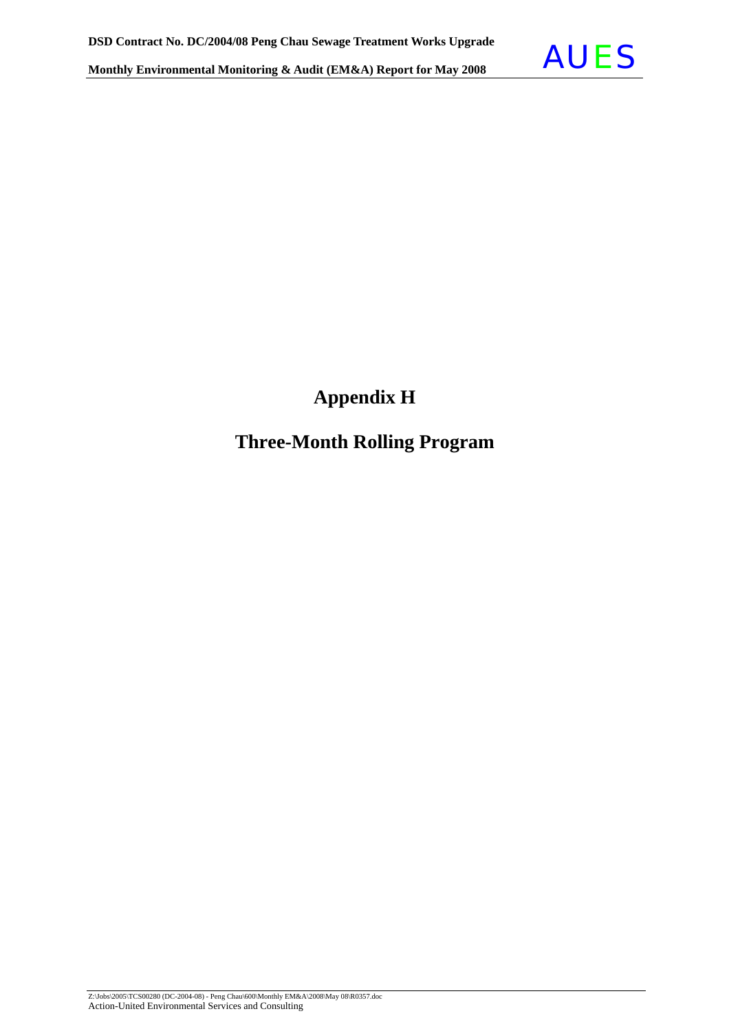

## **Appendix H**

### **Three-Month Rolling Program**